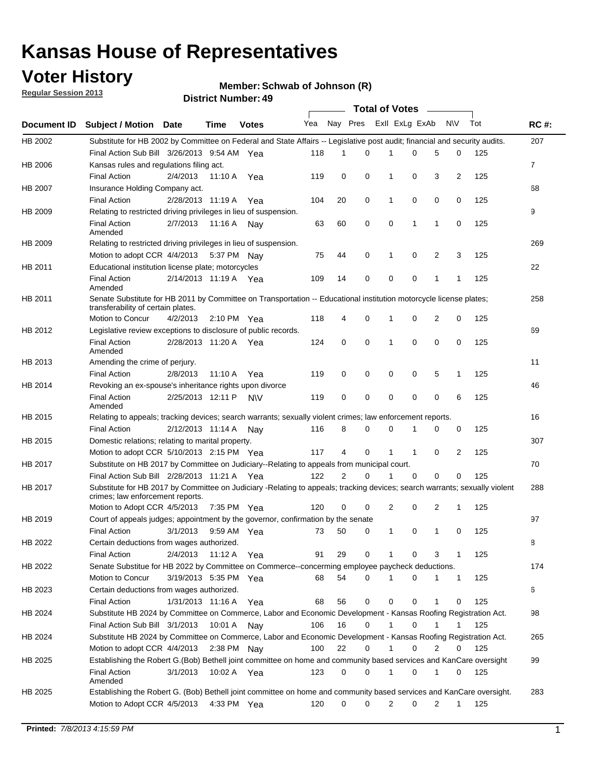### **Voter History**

**Member: Schwab of Johnson (R)** 

**Regular Session 2013**

|                    |                                                                                                                                                                |                       | 3 <del>טר</del> ושעווווט <del>כ</del> ונדע |              |              |    | Total of Votes – |              |                |                |              |     |                |
|--------------------|----------------------------------------------------------------------------------------------------------------------------------------------------------------|-----------------------|--------------------------------------------|--------------|--------------|----|------------------|--------------|----------------|----------------|--------------|-----|----------------|
| <b>Document ID</b> | <b>Subject / Motion Date</b>                                                                                                                                   |                       | Time                                       | <b>Votes</b> | Yea Nay Pres |    |                  |              | Exll ExLg ExAb |                | N\V          | Tot | <b>RC#:</b>    |
| HB 2002            | Substitute for HB 2002 by Committee on Federal and State Affairs -- Legislative post audit; financial and security audits.                                     |                       |                                            |              |              |    |                  |              |                |                |              |     | 207            |
|                    | Final Action Sub Bill 3/26/2013 9:54 AM Yea                                                                                                                    |                       |                                            |              | 118          | 1  | $\Omega$         |              | 0              | 5              | 0            | 125 |                |
| HB 2006            | Kansas rules and regulations filing act.                                                                                                                       |                       |                                            |              |              |    |                  |              |                |                |              |     | $\overline{7}$ |
|                    | <b>Final Action</b>                                                                                                                                            | 2/4/2013              | 11:10 A Yea                                |              | 119          | 0  | 0                | 1            | 0              | 3              | 2            | 125 |                |
| HB 2007            | Insurance Holding Company act.                                                                                                                                 |                       |                                            |              |              |    |                  |              |                |                |              |     | 68             |
|                    | <b>Final Action</b>                                                                                                                                            | 2/28/2013 11:19 A     |                                            | Yea          | 104          | 20 | 0                | 1            | 0              | 0              | 0            | 125 |                |
| HB 2009            | Relating to restricted driving privileges in lieu of suspension.                                                                                               |                       |                                            |              |              |    |                  |              |                |                |              |     | 9              |
|                    | <b>Final Action</b><br>Amended                                                                                                                                 | 2/7/2013              | 11:16 A Nay                                |              | 63           | 60 | 0                | 0            | 1              | 1              | 0            | 125 |                |
| HB 2009            | Relating to restricted driving privileges in lieu of suspension.                                                                                               |                       |                                            |              |              |    |                  |              |                |                |              |     | 269            |
|                    | Motion to adopt CCR 4/4/2013                                                                                                                                   |                       | 5:37 PM Nay                                |              | 75           | 44 | 0                | 1            | 0              | 2              | 3            | 125 |                |
| HB 2011            | Educational institution license plate; motorcycles                                                                                                             |                       |                                            |              |              |    |                  |              |                |                |              |     | 22             |
|                    | <b>Final Action</b><br>Amended                                                                                                                                 | 2/14/2013 11:19 A Yea |                                            |              | 109          | 14 | 0                | 0            | 0              | 1              | 1            | 125 |                |
| HB 2011            | Senate Substitute for HB 2011 by Committee on Transportation -- Educational institution motorcycle license plates;                                             |                       |                                            |              |              |    |                  |              |                |                |              |     | 258            |
|                    | transferability of certain plates.                                                                                                                             |                       |                                            |              |              |    |                  |              |                |                |              |     |                |
|                    | Motion to Concur                                                                                                                                               | 4/2/2013              | $2:10 \text{ PM}$ Yea                      |              | 118          | 4  | 0                | $\mathbf 1$  | 0              | $\overline{2}$ | 0            | 125 |                |
| HB 2012            | Legislative review exceptions to disclosure of public records.                                                                                                 |                       |                                            |              |              |    |                  |              |                |                |              |     | 69             |
|                    | <b>Final Action</b><br>Amended                                                                                                                                 | 2/28/2013 11:20 A Yea |                                            |              | 124          | 0  | 0                | 1            | 0              | 0              | 0            | 125 |                |
| HB 2013            | Amending the crime of perjury.                                                                                                                                 |                       |                                            |              |              |    |                  |              |                |                |              |     | 11             |
|                    | <b>Final Action</b>                                                                                                                                            | 2/8/2013              | 11:10 A                                    | Yea          | 119          | 0  | 0                | 0            | 0              | 5              | 1            | 125 |                |
| HB 2014            | Revoking an ex-spouse's inheritance rights upon divorce                                                                                                        |                       |                                            |              |              |    |                  |              |                |                |              |     | 46             |
|                    | <b>Final Action</b><br>Amended                                                                                                                                 | 2/25/2013 12:11 P     |                                            | <b>NV</b>    | 119          | 0  | $\mathbf 0$      | 0            | 0              | 0              | 6            | 125 |                |
| HB 2015            | Relating to appeals; tracking devices; search warrants; sexually violent crimes; law enforcement reports.                                                      |                       |                                            |              |              |    |                  |              |                |                |              |     | 16             |
|                    | <b>Final Action</b>                                                                                                                                            | 2/12/2013 11:14 A     |                                            | Nav          | 116          | 8  | 0                | 0            | 1              | 0              | 0            | 125 |                |
| HB 2015            | Domestic relations; relating to marital property.                                                                                                              |                       |                                            |              |              |    |                  |              |                |                |              |     | 307            |
|                    | Motion to adopt CCR 5/10/2013 2:15 PM Yea                                                                                                                      |                       |                                            |              | 117          | 4  | 0                | $\mathbf{1}$ | $\mathbf{1}$   | 0              | 2            | 125 |                |
| HB 2017            | Substitute on HB 2017 by Committee on Judiciary--Relating to appeals from municipal court.                                                                     |                       |                                            |              |              |    |                  |              |                |                |              |     | 70             |
|                    | Final Action Sub Bill 2/28/2013 11:21 A Yea                                                                                                                    |                       |                                            |              | 122          | 2  | 0                | 1            | 0              | 0              | 0            | 125 |                |
| HB 2017            | Substitute for HB 2017 by Committee on Judiciary -Relating to appeals; tracking devices; search warrants; sexually violent<br>crimes; law enforcement reports. |                       |                                            |              |              |    |                  |              |                |                |              |     | 288            |
|                    | Motion to Adopt CCR 4/5/2013                                                                                                                                   |                       | 7:35 PM Yea                                |              | 120          | 0  | 0                | 2            | 0              | 2              | 1            | 125 |                |
| HB 2019            | Court of appeals judges; appointment by the governor, confirmation by the senate                                                                               |                       |                                            |              |              |    |                  |              |                |                |              |     | 97             |
|                    | Final Action                                                                                                                                                   | 3/1/2013              | 9:59 AM Yea                                |              | 73           | 50 | 0                | 1            | 0              | 1              | 0            | 125 |                |
| HB 2022            | Certain deductions from wages authorized.                                                                                                                      |                       |                                            |              |              |    |                  |              |                |                |              |     | 8              |
|                    | <b>Final Action</b>                                                                                                                                            | 2/4/2013              | 11:12 A                                    | Yea          | 91           | 29 | 0                |              | 0              | 3              | 1            | 125 |                |
| HB 2022            | Senate Substitue for HB 2022 by Committee on Commerce--concerming employee paycheck deductions.                                                                |                       |                                            |              |              |    |                  |              |                |                |              |     | 174            |
|                    | Motion to Concur                                                                                                                                               | 3/19/2013 5:35 PM Yea |                                            |              | 68           | 54 | 0                | 1            | 0              | 1              | $\mathbf{1}$ | 125 |                |
| HB 2023            | Certain deductions from wages authorized.                                                                                                                      |                       |                                            |              |              |    |                  |              |                |                |              |     | 6              |
|                    | Final Action                                                                                                                                                   | 1/31/2013 11:16 A     |                                            | Yea          | 68           | 56 | 0                | 0            | 0              | 1              | 0            | 125 |                |
| HB 2024            | Substitute HB 2024 by Committee on Commerce, Labor and Economic Development - Kansas Roofing Registration Act.                                                 |                       |                                            |              |              |    |                  |              |                |                |              |     | 98             |
|                    | Final Action Sub Bill 3/1/2013                                                                                                                                 |                       | 10:01 A                                    |              | 106          | 16 | 0                | 1            | 0              | 1              | 1            | 125 |                |
|                    |                                                                                                                                                                |                       |                                            | Nav          |              |    |                  |              |                |                |              |     |                |
| HB 2024            | Substitute HB 2024 by Committee on Commerce, Labor and Economic Development - Kansas Roofing Registration Act.                                                 |                       |                                            |              |              |    |                  |              |                |                |              |     | 265            |
|                    | Motion to adopt CCR 4/4/2013                                                                                                                                   |                       | 2:38 PM                                    | Nav          | 100          | 22 | 0                | 1            | 0              | 2              | 0            | 125 |                |
| HB 2025            | Establishing the Robert G.(Bob) Bethell joint committee on home and community based services and KanCare oversight                                             |                       |                                            |              |              |    |                  |              |                |                |              |     | 99             |
|                    | <b>Final Action</b><br>Amended                                                                                                                                 | 3/1/2013              | 10:02 A Yea                                |              | 123          | 0  | 0                | $\mathbf{1}$ | 0              | 1              | 0            | 125 |                |
| HB 2025            | Establishing the Robert G. (Bob) Bethell joint committee on home and community based services and KanCare oversight.                                           |                       |                                            |              |              |    |                  |              |                |                |              |     | 283            |
|                    | Motion to Adopt CCR 4/5/2013                                                                                                                                   |                       | 4:33 PM Yea                                |              | 120          | 0  | 0                | 2            | 0              | 2              | $\mathbf{1}$ | 125 |                |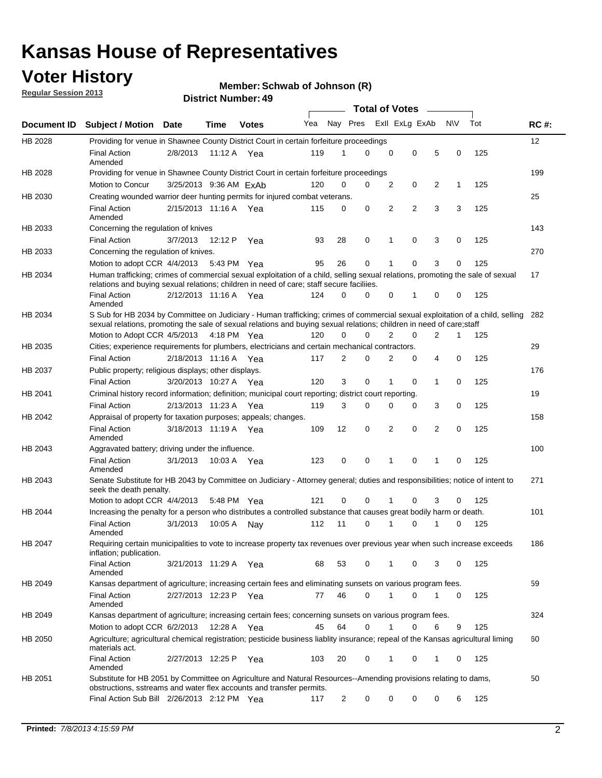### **Voter History**

**Member: Schwab of Johnson (R)** 

**Regular Session 2013**

|                    |                                                                                                                                                                                                                                                       |                        |         |              |     |                         | <b>Total of Votes</b> |                |   |                |           |     |             |
|--------------------|-------------------------------------------------------------------------------------------------------------------------------------------------------------------------------------------------------------------------------------------------------|------------------------|---------|--------------|-----|-------------------------|-----------------------|----------------|---|----------------|-----------|-----|-------------|
| <b>Document ID</b> | <b>Subject / Motion Date</b>                                                                                                                                                                                                                          |                        | Time    | <b>Votes</b> | Yea | Nay Pres Exll ExLg ExAb |                       |                |   |                | <b>NV</b> | Tot | <b>RC#:</b> |
| HB 2028            | Providing for venue in Shawnee County District Court in certain forfeiture proceedings                                                                                                                                                                |                        |         |              |     |                         |                       |                |   |                |           |     | 12          |
|                    | <b>Final Action</b><br>Amended                                                                                                                                                                                                                        | 2/8/2013               | 11:12 A | Yea          | 119 | 1                       | 0                     | 0              | 0 | 5              | 0         | 125 |             |
| HB 2028            | Providing for venue in Shawnee County District Court in certain forfeiture proceedings                                                                                                                                                                |                        |         |              |     | 0                       | 0                     |                |   |                |           |     | 199         |
|                    | Motion to Concur                                                                                                                                                                                                                                      | 3/25/2013 9:36 AM ExAb |         |              | 120 |                         |                       | 2              | 0 | 2              | 1         | 125 |             |
| HB 2030            | Creating wounded warrior deer hunting permits for injured combat veterans.<br><b>Final Action</b>                                                                                                                                                     | 2/15/2013 11:16 A Yea  |         |              | 115 | 0                       | 0                     | 2              | 2 | 3              | 3         | 125 | 25          |
| HB 2033            | Amended<br>Concerning the regulation of knives                                                                                                                                                                                                        |                        |         |              |     |                         |                       |                |   |                |           |     | 143         |
|                    | <b>Final Action</b>                                                                                                                                                                                                                                   | 3/7/2013               | 12:12 P | Yea          | 93  | 28                      | 0                     | 1              | 0 | 3              | 0         | 125 |             |
| HB 2033            | Concerning the regulation of knives.                                                                                                                                                                                                                  |                        |         |              |     |                         |                       |                |   |                |           |     | 270         |
|                    |                                                                                                                                                                                                                                                       |                        |         |              |     | 26                      | 0                     |                | 0 | 3              |           | 125 |             |
|                    | Motion to adopt CCR 4/4/2013                                                                                                                                                                                                                          |                        |         | 5:43 PM Yea  | 95  |                         |                       |                |   |                | 0         |     |             |
| HB 2034            | Human trafficking; crimes of commercial sexual exploitation of a child, selling sexual relations, promoting the sale of sexual<br>relations and buying sexual relations; children in need of care; staff secure faciliies.                            |                        |         |              |     |                         |                       |                |   |                |           |     | 17          |
|                    | <b>Final Action</b><br>Amended                                                                                                                                                                                                                        | 2/12/2013 11:16 A Yea  |         |              | 124 | 0                       | 0                     | 0              | 1 | 0              | 0         | 125 |             |
| HB 2034            | S Sub for HB 2034 by Committee on Judiciary - Human trafficking; crimes of commercial sexual exploitation of a child, selling<br>sexual relations, promoting the sale of sexual relations and buying sexual relations; children in need of care;staff |                        |         |              |     |                         |                       |                |   |                |           |     | 282         |
|                    | Motion to Adopt CCR 4/5/2013 4:18 PM Yea                                                                                                                                                                                                              |                        |         |              | 120 | 0                       | 0                     | $\overline{2}$ | 0 | $\overline{2}$ | 1         | 125 |             |
| HB 2035            | Cities; experience requirements for plumbers, electricians and certain mechanical contractors.                                                                                                                                                        |                        |         |              |     |                         |                       |                |   |                |           |     | 29          |
|                    | <b>Final Action</b>                                                                                                                                                                                                                                   | 2/18/2013 11:16 A      |         | Yea          | 117 | 2                       | 0                     | 2              | 0 | 4              | 0         | 125 |             |
| HB 2037            | Public property; religious displays; other displays.                                                                                                                                                                                                  |                        |         |              |     |                         |                       |                |   |                |           |     | 176         |
|                    | <b>Final Action</b>                                                                                                                                                                                                                                   | 3/20/2013 10:27 A      |         | Yea          | 120 | 3                       | 0                     |                | 0 | 1              | 0         | 125 |             |
| HB 2041            | Criminal history record information; definition; municipal court reporting; district court reporting.                                                                                                                                                 |                        |         |              |     |                         |                       |                |   |                |           |     | 19          |
|                    | <b>Final Action</b>                                                                                                                                                                                                                                   | 2/13/2013 11:23 A      |         | Yea          | 119 | 3                       | 0                     | $\Omega$       | 0 | 3              | 0         | 125 |             |
| HB 2042            | Appraisal of property for taxation purposes; appeals; changes.                                                                                                                                                                                        |                        |         |              |     |                         |                       |                |   |                |           |     | 158         |
|                    | <b>Final Action</b><br>Amended                                                                                                                                                                                                                        | 3/18/2013 11:19 A Yea  |         |              | 109 | 12                      | 0                     | 2              | 0 | 2              | 0         | 125 |             |
| HB 2043            | Aggravated battery; driving under the influence.                                                                                                                                                                                                      |                        |         |              |     |                         |                       |                |   |                |           |     | 100         |
|                    | <b>Final Action</b><br>Amended                                                                                                                                                                                                                        | 3/1/2013               |         | 10:03 A Yea  | 123 | 0                       | 0                     | 1              | 0 | 1              | 0         | 125 |             |
| HB 2043            | Senate Substitute for HB 2043 by Committee on Judiciary - Attorney general; duties and responsibilities; notice of intent to<br>seek the death penalty.                                                                                               |                        |         |              |     |                         |                       |                |   |                |           |     | 271         |
|                    | Motion to adopt CCR 4/4/2013                                                                                                                                                                                                                          |                        |         | 5:48 PM Yea  | 121 | 0                       | 0                     | 1              | 0 | 3              | 0         | 125 |             |
| HB 2044            | Increasing the penalty for a person who distributes a controlled substance that causes great bodily harm or death.                                                                                                                                    |                        |         |              |     |                         |                       |                |   |                |           |     | 101         |
|                    | <b>Final Action</b><br>Amended                                                                                                                                                                                                                        | 3/1/2013               | 10:05 A | Nav          | 112 | 11                      | 0                     | 1              | 0 | 1              | 0         | 125 |             |
| HB 2047            | Requiring certain municipalities to vote to increase property tax revenues over previous year when such increase exceeds<br>inflation; publication.                                                                                                   |                        |         |              |     |                         |                       |                |   |                |           |     | 186         |
|                    | <b>Final Action</b><br>Amended                                                                                                                                                                                                                        | 3/21/2013 11:29 A Yea  |         |              | 68  | 53                      | 0                     | 1              | 0 | 3              | 0         | 125 |             |
| HB 2049            | Kansas department of agriculture; increasing certain fees and eliminating sunsets on various program fees.                                                                                                                                            |                        |         |              |     |                         |                       |                |   |                |           |     | 59          |
|                    | <b>Final Action</b><br>Amended                                                                                                                                                                                                                        | 2/27/2013 12:23 P      |         | Yea          | 77  | 46                      | 0                     | 1              | 0 |                | 0         | 125 |             |
| HB 2049            | Kansas department of agriculture; increasing certain fees; concerning sunsets on various program fees.                                                                                                                                                |                        |         |              |     |                         |                       |                |   |                |           |     | 324         |
|                    | Motion to adopt CCR 6/2/2013                                                                                                                                                                                                                          |                        | 12:28 A | Yea          | 45  | 64                      | 0                     | 1              | 0 | 6              | 9         | 125 |             |
| HB 2050            | Agriculture; agricultural chemical registration; pesticide business liablity insurance; repeal of the Kansas agricultural liming<br>materials act.                                                                                                    |                        |         |              |     |                         |                       |                |   |                |           |     | 60          |
|                    | <b>Final Action</b><br>Amended                                                                                                                                                                                                                        | 2/27/2013 12:25 P      |         | Yea          | 103 | 20                      | 0                     |                | 0 | 1              | 0         | 125 |             |
| HB 2051            | Substitute for HB 2051 by Committee on Agriculture and Natural Resources--Amending provisions relating to dams,<br>obstructions, sstreams and water flex accounts and transfer permits.                                                               |                        |         |              |     |                         |                       |                |   |                |           |     | 50          |
|                    | Final Action Sub Bill 2/26/2013 2:12 PM Yea                                                                                                                                                                                                           |                        |         |              | 117 | $\overline{c}$          | 0                     | 0              | 0 | 0              | 6         | 125 |             |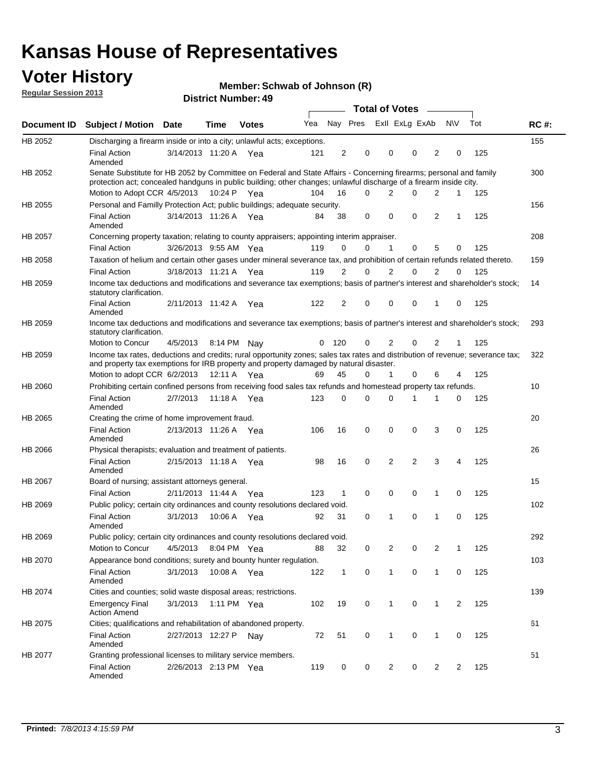### **Voter History**

**Member: Schwab of Johnson (R)** 

**Regular Session 2013**

|             |                                                                                                                                                                                                                                          |                       |             | טד . וסעווואזו וטווע |     |                |          | <b>Total of Votes</b> | $\sim$         |                |             |     |             |
|-------------|------------------------------------------------------------------------------------------------------------------------------------------------------------------------------------------------------------------------------------------|-----------------------|-------------|----------------------|-----|----------------|----------|-----------------------|----------------|----------------|-------------|-----|-------------|
| Document ID | <b>Subject / Motion Date</b>                                                                                                                                                                                                             |                       | <b>Time</b> | <b>Votes</b>         | Yea |                | Nay Pres | Exll ExLg ExAb        |                |                | <b>NV</b>   | Tot | <b>RC#:</b> |
| HB 2052     | Discharging a firearm inside or into a city; unlawful acts; exceptions.                                                                                                                                                                  |                       |             |                      |     |                |          |                       |                |                |             |     | 155         |
|             | <b>Final Action</b><br>Amended                                                                                                                                                                                                           | 3/14/2013 11:20 A Yea |             |                      | 121 | $\overline{2}$ | 0        | 0                     | 0              | 2              | 0           | 125 |             |
| HB 2052     | Senate Substitute for HB 2052 by Committee on Federal and State Affairs - Concerning firearms; personal and family<br>protection act; concealed handguns in public building; other changes; unlawful discharge of a firearm inside city. |                       |             |                      |     |                |          |                       |                |                |             |     | 300         |
|             | Motion to Adopt CCR 4/5/2013 10:24 P Yea                                                                                                                                                                                                 |                       |             |                      | 104 | 16             | $\Omega$ | 2                     | 0              | 2              | 1           | 125 |             |
| HB 2055     | Personal and Familly Protection Act; public buildings; adequate security.                                                                                                                                                                |                       |             |                      |     |                |          |                       |                |                |             |     | 156         |
|             | <b>Final Action</b><br>Amended                                                                                                                                                                                                           | 3/14/2013 11:26 A Yea |             |                      | 84  | 38             | 0        | 0                     | 0              | 2              | 1           | 125 |             |
| HB 2057     | Concerning property taxation; relating to county appraisers; appointing interim appraiser.                                                                                                                                               |                       |             |                      |     |                |          |                       |                |                |             |     | 208         |
|             | <b>Final Action</b>                                                                                                                                                                                                                      | 3/26/2013 9:55 AM Yea |             |                      | 119 | 0              | 0        | $\mathbf{1}$          | 0              | 5              | 0           | 125 |             |
| HB 2058     | Taxation of helium and certain other gases under mineral severance tax, and prohibition of certain refunds related thereto.                                                                                                              |                       |             |                      |     |                |          |                       |                |                |             |     | 159         |
|             | <b>Final Action</b>                                                                                                                                                                                                                      | 3/18/2013 11:21 A Yea |             |                      | 119 | 2              | 0        | $\overline{2}$        | $\Omega$       | 2              | $\Omega$    | 125 |             |
| HB 2059     | Income tax deductions and modifications and severance tax exemptions; basis of partner's interest and shareholder's stock;<br>statutory clarification.                                                                                   |                       |             |                      |     |                |          |                       |                |                |             |     | 14          |
|             | <b>Final Action</b><br>Amended                                                                                                                                                                                                           | 2/11/2013 11:42 A     |             | Yea                  | 122 | 2              | 0        | 0                     | 0              | 1              | 0           | 125 |             |
| HB 2059     | Income tax deductions and modifications and severance tax exemptions; basis of partner's interest and shareholder's stock;<br>statutory clarification.                                                                                   |                       |             |                      |     |                |          |                       |                |                |             |     | 293         |
|             | Motion to Concur                                                                                                                                                                                                                         | 4/5/2013              | 8:14 PM     | Nav                  | 0   | - 120          | 0        | 2                     | 0              | $\overline{2}$ | 1           | 125 |             |
| HB 2059     | Income tax rates, deductions and credits; rural opportunity zones; sales tax rates and distribution of revenue; severance tax;<br>and property tax exemptions for IRB property and property damaged by natural disaster.                 |                       |             |                      |     |                |          |                       |                |                |             |     | 322         |
|             | Motion to adopt CCR 6/2/2013                                                                                                                                                                                                             |                       | 12:11 A     | Yea                  | 69  | 45             | 0        | $\mathbf{1}$          | $\Omega$       | 6              | 4           | 125 |             |
| HB 2060     | Prohibiting certain confined persons from receiving food sales tax refunds and homestead property tax refunds.                                                                                                                           |                       |             |                      |     |                |          |                       |                |                |             |     | 10          |
|             | <b>Final Action</b><br>Amended                                                                                                                                                                                                           | 2/7/2013              | 11:18 A     | Yea                  | 123 | $\mathbf 0$    | 0        | $\Omega$              | 1              | 1              | 0           | 125 |             |
| HB 2065     | Creating the crime of home improvement fraud.                                                                                                                                                                                            |                       |             |                      |     |                |          |                       |                |                |             |     | 20          |
|             | <b>Final Action</b><br>Amended                                                                                                                                                                                                           | 2/13/2013 11:26 A Yea |             |                      | 106 | 16             | 0        | $\mathbf 0$           | 0              | 3              | 0           | 125 |             |
| HB 2066     | Physical therapists; evaluation and treatment of patients.                                                                                                                                                                               |                       |             |                      |     |                |          |                       |                |                |             |     | 26          |
|             | <b>Final Action</b><br>Amended                                                                                                                                                                                                           | 2/15/2013 11:18 A Yea |             |                      | 98  | 16             | 0        | 2                     | $\overline{2}$ | 3              | 4           | 125 |             |
| HB 2067     | Board of nursing; assistant attorneys general.                                                                                                                                                                                           |                       |             |                      |     |                |          |                       |                |                |             |     | 15          |
|             | <b>Final Action</b>                                                                                                                                                                                                                      | 2/11/2013 11:44 A Yea |             |                      | 123 | 1              | 0        | 0                     | 0              | 1              | 0           | 125 |             |
| HB 2069     | Public policy; certain city ordinances and county resolutions declared void.                                                                                                                                                             |                       |             |                      |     |                |          |                       |                |                |             |     | 102         |
|             | <b>Final Action</b><br>Amended                                                                                                                                                                                                           | 3/1/2013              | 10:06 A     | Yea                  | 92  | 31             | $\Omega$ | 1                     | $\Omega$       | 1              | $\mathbf 0$ | 125 |             |
| HB 2069     | Public policy; certain city ordinances and county resolutions declared void.                                                                                                                                                             |                       |             |                      |     |                |          |                       |                |                |             |     | 292         |
|             | <b>Motion to Concur</b>                                                                                                                                                                                                                  | 4/5/2013              |             | 8:04 PM Yea          | 88  | 32             | 0        | 2                     | 0              | $\overline{2}$ | 1           | 125 |             |
| HB 2070     | Appearance bond conditions; surety and bounty hunter regulation.                                                                                                                                                                         |                       |             |                      |     |                |          |                       |                |                |             |     | 103         |
|             | <b>Final Action</b><br>Amended                                                                                                                                                                                                           | 3/1/2013              |             | 10:08 A Yea          | 122 | $\mathbf{1}$   | 0        | $\mathbf{1}$          | 0              | 1              | 0           | 125 |             |
| HB 2074     | Cities and counties; solid waste disposal areas; restrictions.                                                                                                                                                                           |                       |             |                      |     |                |          |                       |                |                |             |     | 139         |
|             | <b>Emergency Final</b><br><b>Action Amend</b>                                                                                                                                                                                            | 3/1/2013              |             | 1:11 PM Yea          | 102 | 19             | 0        | 1                     | 0              | 1              | 2           | 125 |             |
| HB 2075     | Cities; qualifications and rehabilitation of abandoned property.                                                                                                                                                                         |                       |             |                      |     |                |          |                       |                |                |             |     | 61          |
|             | <b>Final Action</b><br>Amended                                                                                                                                                                                                           | 2/27/2013 12:27 P     |             | Nav                  | 72  | 51             | 0        | 1                     | 0              | 1              | 0           | 125 |             |
| HB 2077     | Granting professional licenses to military service members.<br><b>Final Action</b><br>Amended                                                                                                                                            | 2/26/2013 2:13 PM Yea |             |                      | 119 | 0              | 0        | $\overline{2}$        | 0              | $\overline{2}$ | 2           | 125 | 51          |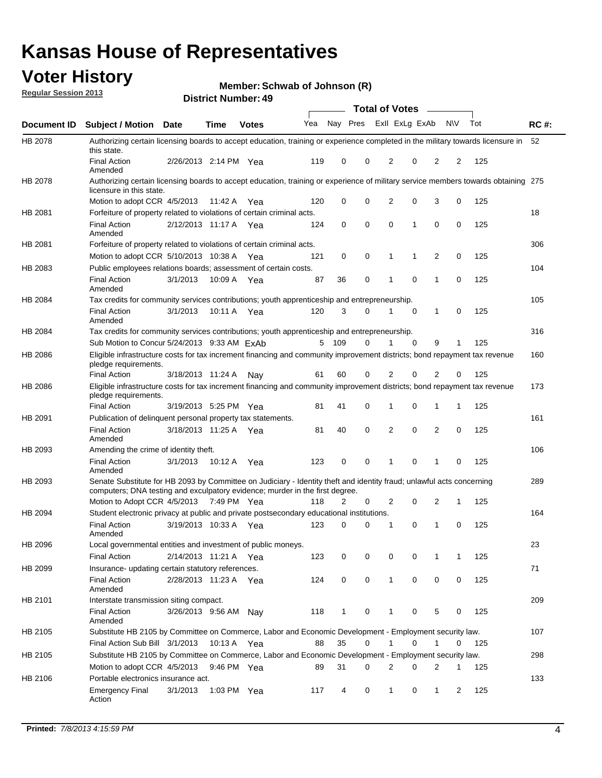### **Voter History**

**Member: Schwab of Johnson (R)** 

**Regular Session 2013**

|                    |                                                                                                                                                                                                       |                       |             | טד . וסעווואזו וטווע |     |              |             | <b>Total of Votes</b> |             | $\sim$         |                |     |             |
|--------------------|-------------------------------------------------------------------------------------------------------------------------------------------------------------------------------------------------------|-----------------------|-------------|----------------------|-----|--------------|-------------|-----------------------|-------------|----------------|----------------|-----|-------------|
| <b>Document ID</b> | <b>Subject / Motion Date</b>                                                                                                                                                                          |                       | <b>Time</b> | <b>Votes</b>         | Yea | Nay Pres     |             | Exll ExLg ExAb        |             |                | <b>NV</b>      | Tot | <b>RC#:</b> |
| HB 2078            | Authorizing certain licensing boards to accept education, training or experience completed in the military towards licensure in<br>this state.                                                        |                       |             |                      |     |              |             |                       |             |                |                |     | 52          |
|                    | <b>Final Action</b><br>Amended                                                                                                                                                                        | 2/26/2013 2:14 PM Yea |             |                      | 119 | 0            | 0           | 2                     | 0           | $\overline{2}$ | 2              | 125 |             |
| HB 2078            | Authorizing certain licensing boards to accept education, training or experience of military service members towards obtaining 275<br>licensure in this state.                                        |                       |             |                      |     |              |             |                       |             |                |                |     |             |
|                    | Motion to adopt CCR 4/5/2013                                                                                                                                                                          |                       | 11:42 A     | Yea                  | 120 | 0            | $\mathbf 0$ | $\overline{2}$        | 0           | 3              | 0              | 125 |             |
| HB 2081            | Forfeiture of property related to violations of certain criminal acts.                                                                                                                                |                       |             |                      |     |              |             |                       |             |                |                |     | 18          |
|                    | <b>Final Action</b><br>Amended                                                                                                                                                                        | 2/12/2013 11:17 A Yea |             |                      | 124 | 0            | 0           | $\Omega$              | 1           | 0              | 0              | 125 |             |
| HB 2081            | Forfeiture of property related to violations of certain criminal acts.                                                                                                                                |                       |             |                      |     |              |             |                       |             |                |                |     | 306         |
|                    | Motion to adopt CCR 5/10/2013 10:38 A                                                                                                                                                                 |                       |             | Yea                  | 121 | 0            | 0           | 1                     | 1           | 2              | 0              | 125 |             |
| HB 2083            | Public employees relations boards; assessment of certain costs.                                                                                                                                       |                       |             |                      |     |              |             |                       |             |                |                |     | 104         |
|                    | <b>Final Action</b><br>Amended                                                                                                                                                                        | 3/1/2013              | 10:09 A     | Yea                  | 87  | 36           | 0           | 1                     | 0           | 1              | 0              | 125 |             |
| HB 2084            | Tax credits for community services contributions; youth apprenticeship and entrepreneurship.                                                                                                          |                       |             |                      |     |              |             |                       |             |                |                |     | 105         |
|                    | <b>Final Action</b><br>Amended                                                                                                                                                                        | 3/1/2013              | 10:11 A     | Yea                  | 120 | 3            | $\Omega$    |                       | $\mathbf 0$ | 1              | 0              | 125 |             |
| HB 2084            | Tax credits for community services contributions; youth apprenticeship and entrepreneurship.                                                                                                          |                       |             |                      |     |              |             |                       |             |                |                |     | 316         |
|                    | Sub Motion to Concur 5/24/2013 9:33 AM ExAb                                                                                                                                                           |                       |             |                      | 5   | - 109        | $\Omega$    | 1                     | $\Omega$    | 9              | 1              | 125 |             |
| HB 2086            | Eligible infrastructure costs for tax increment financing and community improvement districts; bond repayment tax revenue<br>pledge requirements.                                                     |                       |             |                      |     |              |             |                       |             |                |                |     | 160         |
|                    | <b>Final Action</b>                                                                                                                                                                                   | 3/18/2013 11:24 A     |             | Nay                  | 61  | 60           | 0           | 2                     | 0           | 2              | 0              | 125 |             |
| HB 2086            | Eligible infrastructure costs for tax increment financing and community improvement districts; bond repayment tax revenue<br>pledge requirements.                                                     |                       |             |                      |     |              |             |                       |             |                |                |     | 173         |
|                    | <b>Final Action</b>                                                                                                                                                                                   | 3/19/2013 5:25 PM     |             | Yea                  | 81  | 41           | 0           | 1                     | 0           | 1              | 1              | 125 |             |
| HB 2091            | Publication of delinquent personal property tax statements.                                                                                                                                           |                       |             |                      |     |              |             |                       |             |                |                |     | 161         |
|                    | <b>Final Action</b><br>Amended                                                                                                                                                                        | 3/18/2013 11:25 A     |             | Yea                  | 81  | 40           | 0           | 2                     | 0           | $\overline{2}$ | 0              | 125 |             |
| HB 2093            | Amending the crime of identity theft.                                                                                                                                                                 |                       |             |                      |     |              |             |                       |             |                |                |     | 106         |
|                    | <b>Final Action</b><br>Amended                                                                                                                                                                        | 3/1/2013              | 10:12 A     | Yea                  | 123 | 0            | $\Omega$    | 1                     | 0           | 1              | 0              | 125 |             |
| HB 2093            | Senate Substitute for HB 2093 by Committee on Judiciary - Identity theft and identity fraud; unlawful acts concerning<br>computers; DNA testing and exculpatory evidence; murder in the first degree. |                       |             |                      |     |              |             |                       |             |                |                |     | 289         |
|                    | Motion to Adopt CCR 4/5/2013 7:49 PM Yea                                                                                                                                                              |                       |             |                      | 118 | 2            | 0           | 2                     | 0           | 2              | 1              | 125 |             |
| HB 2094            | Student electronic privacy at public and private postsecondary educational institutions.                                                                                                              |                       |             |                      |     |              |             |                       |             |                |                |     | 164         |
|                    | <b>Final Action</b><br>Amended                                                                                                                                                                        | 3/19/2013 10:33 A     |             | Yea                  | 123 | 0            | 0           | 1                     | 0           | 1              | 0              | 125 |             |
| HB 2096            | Local governmental entities and investment of public moneys.                                                                                                                                          |                       |             |                      |     |              |             |                       |             |                |                |     | 23          |
|                    | <b>Final Action</b>                                                                                                                                                                                   | 2/14/2013 11:21 A     |             | Yea                  | 123 | 0            | 0           | 0                     | 0           | 1              | 1              | 125 |             |
| HB 2099            | Insurance- updating certain statutory references.                                                                                                                                                     |                       |             |                      |     |              |             |                       |             |                |                |     | 71          |
|                    | <b>Final Action</b><br>Amended                                                                                                                                                                        | 2/28/2013 11:23 A     |             | Yea                  | 124 | 0            | 0           | 1                     | 0           | 0              | 0              | 125 |             |
| HB 2101            | Interstate transmission siting compact.                                                                                                                                                               |                       |             |                      |     |              |             |                       |             |                |                |     | 209         |
|                    | <b>Final Action</b><br>Amended                                                                                                                                                                        | 3/26/2013 9:56 AM Nay |             |                      | 118 | $\mathbf{1}$ | 0           | 1                     | 0           | 5              | 0              | 125 |             |
| HB 2105            | Substitute HB 2105 by Committee on Commerce, Labor and Economic Development - Employment security law.                                                                                                |                       |             |                      |     |              |             |                       |             |                |                |     | 107         |
|                    | Final Action Sub Bill 3/1/2013                                                                                                                                                                        |                       | 10:13 A Yea |                      | 88  | 35           | 0           |                       | 0           | 1              | 0              | 125 |             |
| HB 2105            | Substitute HB 2105 by Committee on Commerce, Labor and Economic Development - Employment security law.                                                                                                |                       |             |                      |     |              |             |                       |             |                |                |     | 298         |
|                    | Motion to adopt CCR 4/5/2013                                                                                                                                                                          |                       | 9:46 PM Yea |                      | 89  | 31           | 0           | 2                     | 0           | 2              | 1              | 125 |             |
| HB 2106            | Portable electronics insurance act.                                                                                                                                                                   |                       |             |                      |     |              |             |                       |             |                |                |     | 133         |
|                    | <b>Emergency Final</b><br>Action                                                                                                                                                                      | 3/1/2013              | 1:03 PM Yea |                      | 117 | 4            | 0           | $\mathbf{1}$          | 0           | $\mathbf{1}$   | $\overline{2}$ | 125 |             |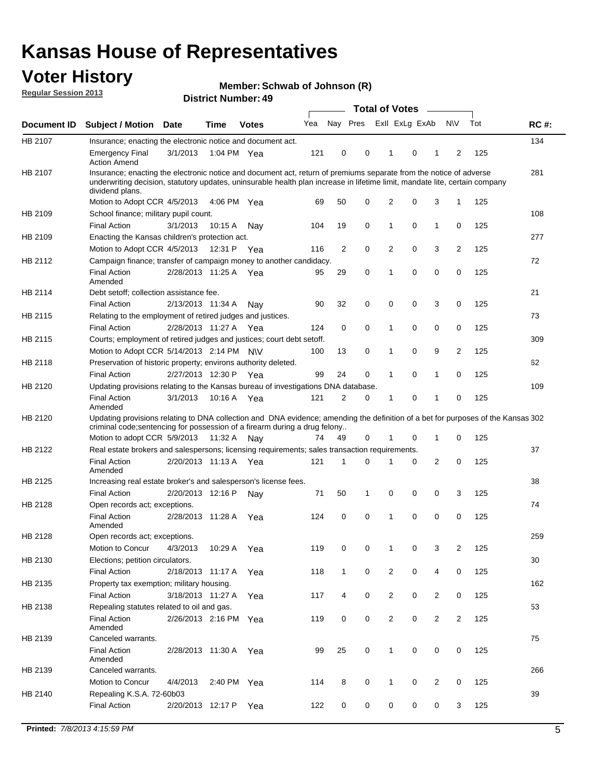### **Voter History**

**Member: Schwab of Johnson (R)** 

**Regular Session 2013**

|                |                                                                                                                                                                                                                                                                      |                       |             |              |     |                         | <b>Total of Votes</b> |                |                |                |                |     |             |
|----------------|----------------------------------------------------------------------------------------------------------------------------------------------------------------------------------------------------------------------------------------------------------------------|-----------------------|-------------|--------------|-----|-------------------------|-----------------------|----------------|----------------|----------------|----------------|-----|-------------|
| Document ID    | Subject / Motion Date                                                                                                                                                                                                                                                |                       | Time        | <b>Votes</b> | Yea | Nay Pres                |                       |                | Exll ExLg ExAb |                | <b>NV</b>      | Tot | <b>RC#:</b> |
| HB 2107        | Insurance; enacting the electronic notice and document act.                                                                                                                                                                                                          |                       |             |              |     |                         |                       |                |                |                |                |     | 134         |
|                | Emergency Final<br><b>Action Amend</b>                                                                                                                                                                                                                               | 3/1/2013              | 1:04 PM Yea |              | 121 | 0                       | 0                     | 1              | 0              |                | $\overline{2}$ | 125 |             |
| <b>HB 2107</b> | Insurance; enacting the electronic notice and document act, return of premiums separate from the notice of adverse<br>underwriting decision, statutory updates, uninsurable health plan increase in lifetime limit, mandate lite, certain company<br>dividend plans. |                       |             |              |     |                         |                       |                |                |                |                |     | 281         |
|                | Motion to Adopt CCR 4/5/2013                                                                                                                                                                                                                                         |                       | 4:06 PM Yea |              | 69  | 50                      | 0                     | 2              | 0              | 3              | $\mathbf{1}$   | 125 |             |
| HB 2109        | School finance; military pupil count.                                                                                                                                                                                                                                |                       |             |              |     |                         |                       |                |                |                |                |     | 108         |
|                | <b>Final Action</b>                                                                                                                                                                                                                                                  | 3/1/2013              | 10:15A      | Nav          | 104 | 19                      | $\mathbf 0$           | 1              | 0              | 1              | 0              | 125 |             |
| HB 2109        | Enacting the Kansas children's protection act.                                                                                                                                                                                                                       |                       |             |              |     |                         |                       |                |                |                |                |     | 277         |
|                | Motion to Adopt CCR 4/5/2013                                                                                                                                                                                                                                         |                       | 12:31 P     | Yea          | 116 | $\overline{\mathbf{c}}$ | $\mathbf 0$           | 2              | 0              | 3              | $\overline{c}$ | 125 |             |
| HB 2112        | Campaign finance; transfer of campaign money to another candidacy.                                                                                                                                                                                                   |                       |             |              |     |                         |                       |                |                |                |                |     | 72          |
|                | <b>Final Action</b><br>Amended                                                                                                                                                                                                                                       | 2/28/2013 11:25 A Yea |             |              | 95  | 29                      | 0                     | 1              | 0              | 0              | $\mathbf 0$    | 125 |             |
| HB 2114        | Debt setoff; collection assistance fee.                                                                                                                                                                                                                              |                       |             |              |     |                         |                       |                |                |                |                |     | 21          |
|                | <b>Final Action</b>                                                                                                                                                                                                                                                  | 2/13/2013 11:34 A     |             | Nav          | 90  | 32                      | 0                     | 0              | 0              | 3              | 0              | 125 |             |
| HB 2115        | Relating to the employment of retired judges and justices.                                                                                                                                                                                                           |                       |             |              |     |                         |                       |                |                |                |                |     | 73          |
|                | <b>Final Action</b>                                                                                                                                                                                                                                                  | 2/28/2013 11:27 A     |             | Yea          | 124 | 0                       | $\mathbf 0$           | 1              | 0              | 0              | 0              | 125 |             |
| HB 2115        | Courts; employment of retired judges and justices; court debt setoff.                                                                                                                                                                                                |                       |             |              |     |                         |                       |                |                |                |                |     | 309         |
|                | Motion to Adopt CCR 5/14/2013 2:14 PM N\V                                                                                                                                                                                                                            |                       |             |              | 100 | 13                      | 0                     | 1              | 0              | 9              | 2              | 125 |             |
| HB 2118        | Preservation of historic property; environs authority deleted.                                                                                                                                                                                                       |                       |             |              |     |                         |                       |                |                |                |                |     | 62          |
|                | <b>Final Action</b>                                                                                                                                                                                                                                                  | 2/27/2013 12:30 P     |             | Yea          | 99  | 24                      | 0                     | $\mathbf{1}$   | 0              | 1              | 0              | 125 |             |
| HB 2120        | Updating provisions relating to the Kansas bureau of investigations DNA database.                                                                                                                                                                                    |                       |             |              |     |                         |                       |                |                |                |                |     | 109         |
|                | <b>Final Action</b><br>Amended                                                                                                                                                                                                                                       | 3/1/2013              | 10:16 A     | Yea          | 121 | 2                       | 0                     | 1              | 0              | 1              | 0              | 125 |             |
| HB 2120        | Updating provisions relating to DNA collection and DNA evidence; amending the definition of a bet for purposes of the Kansas 302                                                                                                                                     |                       |             |              |     |                         |                       |                |                |                |                |     |             |
|                | criminal code; sentencing for possession of a firearm during a drug felony                                                                                                                                                                                           |                       |             |              |     |                         |                       |                |                |                |                |     |             |
|                | Motion to adopt CCR 5/9/2013                                                                                                                                                                                                                                         |                       | 11:32 A     | Nav          | 74  | 49                      | 0                     |                | 0              | 1              | 0              | 125 |             |
| HB 2122        | Real estate brokers and salespersons; licensing requirements; sales transaction requirements.                                                                                                                                                                        |                       |             |              |     |                         |                       |                |                |                |                |     | 37          |
|                | <b>Final Action</b><br>Amended                                                                                                                                                                                                                                       | 2/20/2013 11:13 A     |             | Yea          | 121 | $\mathbf{1}$            | 0                     | 1              | 0              | 2              | 0              | 125 |             |
| HB 2125        | Increasing real estate broker's and salesperson's license fees.                                                                                                                                                                                                      |                       |             |              |     |                         |                       |                |                |                |                |     | 38          |
|                | <b>Final Action</b>                                                                                                                                                                                                                                                  | 2/20/2013 12:16 P     |             | Nav          | 71  | 50                      | 1                     | 0              | 0              | 0              | 3              | 125 |             |
| HB 2128        | Open records act; exceptions.                                                                                                                                                                                                                                        |                       |             |              |     |                         |                       |                |                |                |                |     | 74          |
|                | <b>Final Action</b><br>Amended                                                                                                                                                                                                                                       | 2/28/2013 11:28 A     |             | Yea          | 124 | 0                       | 0                     | 1              | 0              | 0              | 0              | 125 |             |
| HB 2128        | Open records act; exceptions.                                                                                                                                                                                                                                        |                       |             |              |     |                         |                       |                |                |                |                |     | 259         |
|                | Motion to Concur                                                                                                                                                                                                                                                     | 4/3/2013              | 10:29 A     | Yea          | 119 | 0                       | 0                     |                | 0              | 3              | 2              | 125 |             |
| HB 2130        | Elections; petition circulators.                                                                                                                                                                                                                                     |                       |             |              |     |                         |                       |                |                |                |                |     | 30          |
|                | <b>Final Action</b>                                                                                                                                                                                                                                                  | 2/18/2013 11:17 A     |             | Yea          | 118 | $\mathbf{1}$            | 0                     | $\overline{c}$ | 0              | 4              | 0              | 125 |             |
| HB 2135        | Property tax exemption; military housing.                                                                                                                                                                                                                            |                       |             |              |     |                         |                       |                |                |                |                |     | 162         |
|                | <b>Final Action</b>                                                                                                                                                                                                                                                  | 3/18/2013 11:27 A     |             | Yea          | 117 | 4                       | 0                     | $\overline{c}$ | 0              | 2              | 0              | 125 |             |
| HB 2138        | Repealing statutes related to oil and gas.                                                                                                                                                                                                                           |                       |             |              |     |                         |                       |                |                |                |                |     | 53          |
|                | <b>Final Action</b><br>Amended                                                                                                                                                                                                                                       | 2/26/2013 2:16 PM Yea |             |              | 119 | 0                       | 0                     | 2              | 0              | 2              | 2              | 125 |             |
| HB 2139        | Canceled warrants.                                                                                                                                                                                                                                                   |                       |             |              |     |                         |                       |                |                |                |                |     | 75          |
|                | <b>Final Action</b><br>Amended                                                                                                                                                                                                                                       | 2/28/2013 11:30 A     |             | Yea          | 99  | 25                      | 0                     | 1              | 0              | 0              | 0              | 125 |             |
| HB 2139        | Canceled warrants.                                                                                                                                                                                                                                                   |                       |             |              |     |                         |                       |                |                |                |                |     | 266         |
|                | Motion to Concur                                                                                                                                                                                                                                                     | 4/4/2013              | 2:40 PM Yea |              | 114 | 8                       | 0                     | $\mathbf{1}$   | 0              | $\overline{2}$ | 0              | 125 |             |
| HB 2140        | Repealing K.S.A. 72-60b03                                                                                                                                                                                                                                            |                       |             |              |     |                         |                       |                |                |                |                |     | 39          |
|                | <b>Final Action</b>                                                                                                                                                                                                                                                  | 2/20/2013 12:17 P     |             | Yea          | 122 | 0                       | 0                     | 0              | 0              | 0              | 3              | 125 |             |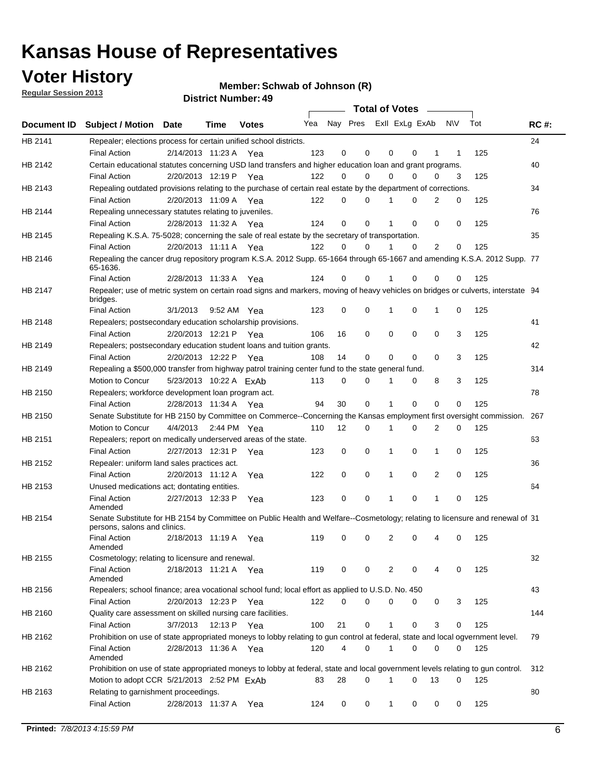### **Voter History**

**Member: Schwab of Johnson (R)** 

**Regular Session 2013**

|             |                                                                                                                                                                                          |                                   |             | טד <sub>י י</sub> וסעווואר ועוווסוש |                             |             |          | Total of Votes – |          |                |           |            |             |
|-------------|------------------------------------------------------------------------------------------------------------------------------------------------------------------------------------------|-----------------------------------|-------------|-------------------------------------|-----------------------------|-------------|----------|------------------|----------|----------------|-----------|------------|-------------|
| Document ID | Subject / Motion Date                                                                                                                                                                    |                                   | <b>Time</b> | <b>Votes</b>                        | Yea Nay Pres ExII ExLg ExAb |             |          |                  |          |                | <b>NV</b> | Tot        | <b>RC#:</b> |
| HB 2141     | Repealer; elections process for certain unified school districts.<br><b>Final Action</b>                                                                                                 | 2/14/2013 11:23 A Yea             |             |                                     | 123                         | 0           | 0        | 0                | 0        | 1              | 1         | 125        | 24          |
| HB 2142     | Certain educational statutes concerning USD land transfers and higher education loan and grant programs.<br><b>Final Action</b>                                                          | 2/20/2013 12:19 P Yea             |             |                                     | 122                         | 0           | 0        | $\Omega$         | 0        | $\Omega$       | 3         | 125        | 40          |
| HB 2143     | Repealing outdated provisions relating to the purchase of certain real estate by the department of corrections.<br><b>Final Action</b>                                                   | 2/20/2013 11:09 A Yea             |             |                                     | 122                         | 0           | 0        |                  | 0        | 2              | 0         | 125        | 34          |
| HB 2144     | Repealing unnecessary statutes relating to juveniles.<br><b>Final Action</b>                                                                                                             | 2/28/2013 11:32 A Yea             |             |                                     | 124                         | $\mathbf 0$ | 0        | 1                | 0        | $\Omega$       | 0         | 125        | 76          |
| HB 2145     | Repealing K.S.A. 75-5028; concerning the sale of real estate by the secretary of transportation.<br><b>Final Action</b>                                                                  | 2/20/2013 11:11 A Yea             |             |                                     | 122                         | 0           | $\Omega$ |                  | $\Omega$ | $\overline{2}$ | 0         | 125        | 35          |
| HB 2146     | Repealing the cancer drug repository program K.S.A. 2012 Supp. 65-1664 through 65-1667 and amending K.S.A. 2012 Supp. 77<br>65-1636.<br><b>Final Action</b>                              | 2/28/2013 11:33 A                 |             | Yea                                 | 124                         | 0           | 0        |                  | 0        | 0              | 0         | 125        |             |
| HB 2147     | Repealer; use of metric system on certain road signs and markers, moving of heavy vehicles on bridges or culverts, interstate 94<br>bridges.                                             |                                   |             |                                     |                             |             |          |                  |          |                |           |            |             |
| HB 2148     | <b>Final Action</b><br>Repealers; postsecondary education scholarship provisions.<br><b>Final Action</b>                                                                                 | 3/1/2013<br>2/20/2013 12:21 P Yea |             | 9:52 AM Yea                         | 123<br>106                  | 0<br>16     | 0<br>0   | 0                | 0<br>0   | 1<br>0         | 0<br>3    | 125<br>125 | 41          |
| HB 2149     | Repealers; postsecondary education student loans and tuition grants.<br><b>Final Action</b>                                                                                              | 2/20/2013 12:22 P                 |             | Yea                                 | 108                         | 14          | 0        | 0                | 0        | 0              | 3         | 125        | 42          |
| HB 2149     | Repealing a \$500,000 transfer from highway patrol training center fund to the state general fund.<br>Motion to Concur                                                                   | 5/23/2013 10:22 A ExAb            |             |                                     | 113                         | 0           | 0        | 1                | 0        | 8              | 3         | 125        | 314         |
| HB 2150     | Repealers; workforce development loan program act.<br><b>Final Action</b>                                                                                                                | 2/28/2013 11:34 A Yea             |             |                                     | 94                          | 30          | 0        | 1                | $\Omega$ | 0              | 0         | 125        | 78          |
| HB 2150     | Senate Substitute for HB 2150 by Committee on Commerce--Concerning the Kansas employment first oversight commission.<br>Motion to Concur                                                 | 4/4/2013 2:44 PM Yea              |             |                                     | 110                         | 12          | 0        | 1                | 0        | 2              | 0         | 125        | 267         |
| HB 2151     | Repealers; report on medically underserved areas of the state.<br><b>Final Action</b>                                                                                                    | 2/27/2013 12:31 P                 |             | Yea                                 | 123                         | 0           | 0        | 1                | 0        | 1              | 0         | 125        | 63          |
| HB 2152     | Repealer: uniform land sales practices act.<br><b>Final Action</b>                                                                                                                       | 2/20/2013 11:12 A                 |             | Yea                                 | 122                         | 0           | 0        | 1                | 0        | 2              | 0         | 125        | 36          |
| HB 2153     | Unused medications act; dontating entities.<br><b>Final Action</b>                                                                                                                       | 2/27/2013 12:33 P                 |             | Yea                                 | 123                         | 0           | 0        | 1                | 0        | 1              | 0         | 125        | 64          |
| HB 2154     | Amended<br>Senate Substitute for HB 2154 by Committee on Public Health and Welfare--Cosmetology; relating to licensure and renewal of 31<br>persons, salons and clinics.                 |                                   |             |                                     |                             |             |          |                  |          |                |           |            |             |
|             | Final Action<br>Amended                                                                                                                                                                  | 2/18/2013 11:19 A Yea             |             |                                     | 119                         | 0           | 0        | 2                | 0        | 4              | 0         | 125        |             |
| HB 2155     | Cosmetology; relating to licensure and renewal.<br><b>Final Action</b><br>Amended                                                                                                        | 2/18/2013 11:21 A Yea             |             |                                     | 119                         | 0           | 0        | 2                | 0        | 4              | 0         | 125        | 32          |
| HB 2156     | Repealers; school finance; area vocational school fund; local effort as applied to U.S.D. No. 450<br><b>Final Action</b>                                                                 | 2/20/2013 12:23 P                 |             | Yea                                 | 122                         | 0           | 0        | 0                | 0        | 0              | 3         | 125        | 43          |
| HB 2160     | Quality care assessment on skilled nursing care facilities.<br><b>Final Action</b>                                                                                                       | 3/7/2013                          | 12:13 P     | Yea                                 | 100                         | 21          | 0        | 1                | 0        | 3              | 0         | 125        | 144         |
| HB 2162     | Prohibition on use of state appropriated moneys to lobby relating to gun control at federal, state and local ogvernment level.<br><b>Final Action</b>                                    | 2/28/2013 11:36 A Yea             |             |                                     | 120                         | 4           | 0        | 1                | 0        | 0              | 0         | 125        | 79          |
| HB 2162     | Amended<br>Prohibition on use of state appropriated moneys to lobby at federal, state and local government levels relating to gun control.<br>Motion to adopt CCR 5/21/2013 2:52 PM ExAb |                                   |             |                                     | 83                          | 28          | 0        | 1                | 0        | 13             | 0         | 125        | 312         |
| HB 2163     | Relating to garnishment proceedings.<br><b>Final Action</b>                                                                                                                              | 2/28/2013 11:37 A                 |             | Yea                                 | 124                         | 0           | 0        | 1                | 0        | 0              | 0         | 125        | 80          |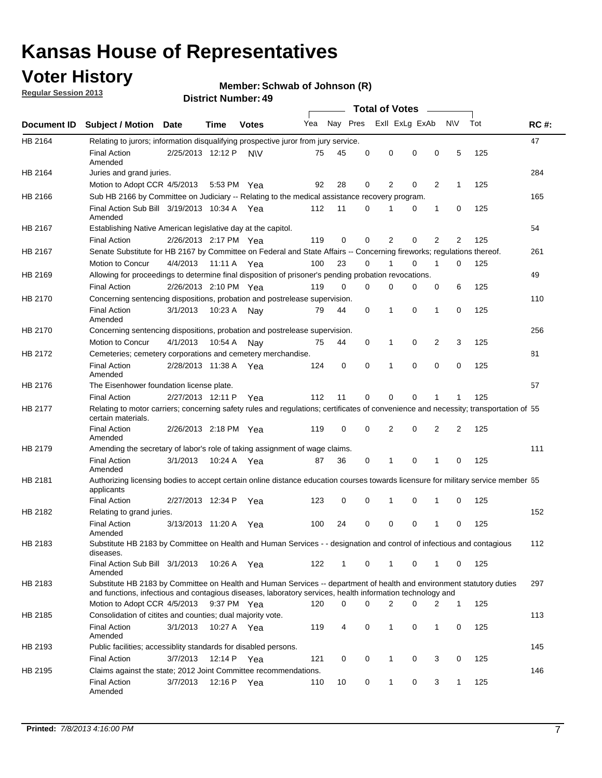### **Voter History**

**Member: Schwab of Johnson (R)** 

**Regular Session 2013**

|             |                                                                                                                                                                                                                                    |                       |             |              |     |              |          | <b>Total of Votes</b> |   |                |              |     |             |
|-------------|------------------------------------------------------------------------------------------------------------------------------------------------------------------------------------------------------------------------------------|-----------------------|-------------|--------------|-----|--------------|----------|-----------------------|---|----------------|--------------|-----|-------------|
| Document ID | <b>Subject / Motion</b>                                                                                                                                                                                                            | Date                  | Time        | <b>Votes</b> | Yea | Nay Pres     |          | Exll ExLg ExAb        |   |                | <b>NV</b>    | Tot | <b>RC#:</b> |
| HB 2164     | Relating to jurors; information disqualifying prospective juror from jury service.                                                                                                                                                 |                       |             |              |     |              |          |                       |   |                |              |     | 47          |
|             | <b>Final Action</b><br>Amended                                                                                                                                                                                                     | 2/25/2013 12:12 P     |             | <b>NV</b>    | 75  | 45           | 0        | 0                     | 0 | 0              | 5            | 125 |             |
| HB 2164     | Juries and grand juries.<br>Motion to Adopt CCR 4/5/2013                                                                                                                                                                           |                       |             | 5:53 PM Yea  | 92  | 28           | 0        | 2                     | 0 | 2              | 1            | 125 | 284         |
| HB 2166     |                                                                                                                                                                                                                                    |                       |             |              |     |              |          |                       |   |                |              |     | 165         |
|             | Sub HB 2166 by Committee on Judiciary -- Relating to the medical assistance recovery program.<br>Final Action Sub Bill 3/19/2013 10:34 A Yea                                                                                       |                       |             |              | 112 | 11           | 0        |                       | 0 | 1              | 0            | 125 |             |
|             | Amended                                                                                                                                                                                                                            |                       |             |              |     |              |          |                       |   |                |              |     |             |
| HB 2167     | Establishing Native American legislative day at the capitol.                                                                                                                                                                       |                       |             |              |     |              |          |                       |   |                |              |     | 54          |
|             | <b>Final Action</b>                                                                                                                                                                                                                | 2/26/2013 2:17 PM Yea |             |              | 119 | 0            | 0        | 2                     | 0 | $\overline{2}$ | 2            | 125 |             |
| HB 2167     | Senate Substitute for HB 2167 by Committee on Federal and State Affairs -- Concerning fireworks; regulations thereof.                                                                                                              |                       |             |              |     |              |          |                       |   |                |              |     | 261         |
|             | Motion to Concur                                                                                                                                                                                                                   | 4/4/2013 11:11 A Yea  |             |              | 100 | 23           | 0        |                       | 0 | 1              | $\Omega$     | 125 |             |
| HB 2169     | Allowing for proceedings to determine final disposition of prisoner's pending probation revocations.                                                                                                                               |                       |             |              |     |              |          |                       |   |                |              |     | 49          |
|             | <b>Final Action</b>                                                                                                                                                                                                                | 2/26/2013 2:10 PM Yea |             |              | 119 | $\Omega$     | $\Omega$ | 0                     | 0 | 0              | 6            | 125 |             |
| HB 2170     | Concerning sentencing dispositions, probation and postrelease supervision.                                                                                                                                                         |                       |             |              |     |              |          |                       |   |                |              |     | 110         |
|             | <b>Final Action</b><br>Amended                                                                                                                                                                                                     | 3/1/2013              | 10:23 A Nay |              | 79  | 44           | 0        | 1                     | 0 | $\mathbf{1}$   | 0            | 125 |             |
| HB 2170     | Concerning sentencing dispositions, probation and postrelease supervision.                                                                                                                                                         |                       |             |              |     |              |          |                       |   |                |              |     | 256         |
|             | Motion to Concur                                                                                                                                                                                                                   | 4/1/2013              | 10:54 A     | Nav          | 75  | 44           | 0        | 1                     | 0 | 2              | 3            | 125 |             |
| HB 2172     | Cemeteries; cemetery corporations and cemetery merchandise.                                                                                                                                                                        |                       |             |              |     |              |          |                       |   |                |              |     | 81          |
|             | <b>Final Action</b><br>Amended                                                                                                                                                                                                     | 2/28/2013 11:38 A     |             | Yea          | 124 | 0            | 0        | 1                     | 0 | 0              | 0            | 125 |             |
| HB 2176     | The Eisenhower foundation license plate.                                                                                                                                                                                           |                       |             |              |     |              |          |                       |   |                |              |     | 57          |
|             | <b>Final Action</b>                                                                                                                                                                                                                | 2/27/2013 12:11 P     |             | Yea          | 112 | 11           | 0        | $\Omega$              | 0 | 1              |              | 125 |             |
| HB 2177     | Relating to motor carriers; concerning safety rules and regulations; certificates of convenience and necessity; transportation of 55<br>certain materials.                                                                         |                       |             |              |     |              |          |                       |   |                |              |     |             |
|             | <b>Final Action</b><br>Amended                                                                                                                                                                                                     | 2/26/2013 2:18 PM Yea |             |              | 119 | $\mathbf 0$  | 0        | 2                     | 0 | 2              | 2            | 125 |             |
| HB 2179     | Amending the secretary of labor's role of taking assignment of wage claims.                                                                                                                                                        |                       |             |              |     |              |          |                       |   |                |              |     | 111         |
|             | <b>Final Action</b><br>Amended                                                                                                                                                                                                     | 3/1/2013              |             | 10:24 A Yea  | 87  | 36           | 0        | 1                     | 0 | 1              | 0            | 125 |             |
| HB 2181     | Authorizing licensing bodies to accept certain online distance education courses towards licensure for military service member 55<br>applicants                                                                                    |                       |             |              |     |              |          |                       |   |                |              |     |             |
|             | <b>Final Action</b>                                                                                                                                                                                                                | 2/27/2013 12:34 P     |             | Yea          | 123 | 0            | 0        | 1                     | 0 | 1              | 0            | 125 |             |
| HB 2182     | Relating to grand juries.                                                                                                                                                                                                          |                       |             |              |     |              |          |                       |   |                |              |     | 152         |
|             | <b>Final Action</b><br>Amended                                                                                                                                                                                                     | 3/13/2013 11:20 A     |             | Yea          | 100 | 24           | 0        | 0                     | 0 | 1              | 0            | 125 |             |
| HB 2183     | Substitute HB 2183 by Committee on Health and Human Services - - designation and control of infectious and contagious<br>diseases.                                                                                                 |                       |             |              |     |              |          |                       |   |                |              |     | 112         |
|             | Final Action Sub Bill 3/1/2013<br>Amended                                                                                                                                                                                          |                       | 10:26 A Yea |              | 122 | $\mathbf{1}$ | 0        | $\mathbf{1}$          | 0 | $\mathbf{1}$   | $\mathbf{0}$ | 125 |             |
| HB 2183     | Substitute HB 2183 by Committee on Health and Human Services -- department of health and environment statutory duties<br>and functions, infectious and contagious diseases, laboratory services, health information technology and |                       |             |              |     |              |          |                       |   |                |              |     | 297         |
|             | Motion to Adopt CCR 4/5/2013                                                                                                                                                                                                       |                       |             | 9:37 PM Yea  | 120 | 0            | 0        | $\overline{2}$        | 0 | 2              | $\mathbf{1}$ | 125 |             |
| HB 2185     | Consolidation of citites and counties; dual majority vote.                                                                                                                                                                         |                       |             |              |     |              |          |                       |   |                |              |     | 113         |
|             | <b>Final Action</b><br>Amended                                                                                                                                                                                                     | 3/1/2013              |             | 10:27 A Yea  | 119 | 4            | 0        | 1                     | 0 | 1              | 0            | 125 |             |
| HB 2193     | Public facilities; accessiblity standards for disabled persons.                                                                                                                                                                    |                       |             |              |     |              |          |                       |   |                |              |     | 145         |
|             | <b>Final Action</b>                                                                                                                                                                                                                | 3/7/2013              | 12:14 P Yea |              | 121 | 0            | 0        | 1                     | 0 | 3              | 0            | 125 |             |
| HB 2195     | Claims against the state; 2012 Joint Committee recommendations.                                                                                                                                                                    |                       |             |              |     |              |          |                       |   |                |              |     | 146         |
|             | <b>Final Action</b><br>Amended                                                                                                                                                                                                     | 3/7/2013              | 12:16 P Yea |              | 110 | 10           | 0        | $\mathbf{1}$          | 0 | 3              | $\mathbf{1}$ | 125 |             |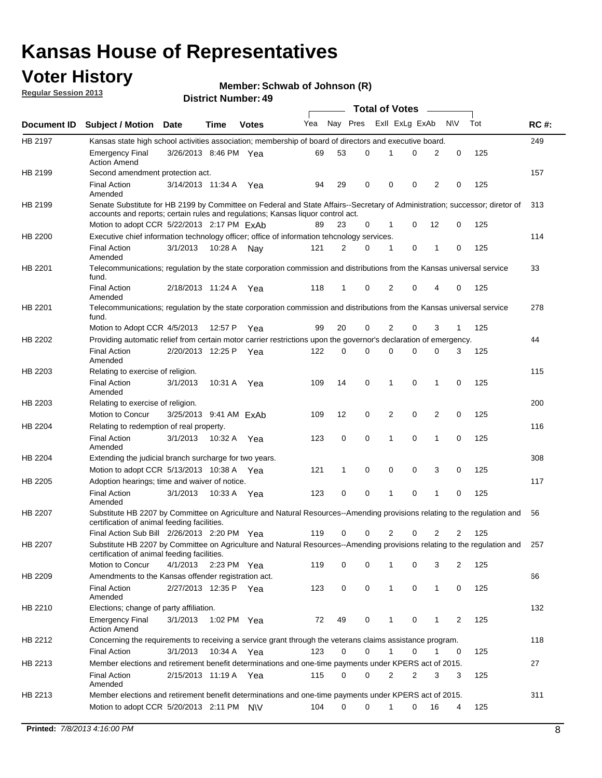### **Voter History**

**Member: Schwab of Johnson (R)** 

**Regular Session 2013**

|             |                                                                                                                                                                                                                |                        |             |              |     |              |          | <b>Total of Votes</b> |   |                |             |     |             |
|-------------|----------------------------------------------------------------------------------------------------------------------------------------------------------------------------------------------------------------|------------------------|-------------|--------------|-----|--------------|----------|-----------------------|---|----------------|-------------|-----|-------------|
| Document ID | <b>Subject / Motion Date</b>                                                                                                                                                                                   |                        | Time        | <b>Votes</b> | Yea | Nay Pres     |          | Exll ExLg ExAb        |   |                | <b>NV</b>   | Tot | <b>RC#:</b> |
| HB 2197     | Kansas state high school activities association; membership of board of directors and executive board.                                                                                                         |                        |             |              |     |              |          |                       |   |                |             |     | 249         |
|             | <b>Emergency Final</b><br><b>Action Amend</b>                                                                                                                                                                  | 3/26/2013 8:46 PM Yea  |             |              | 69  | 53           | 0        |                       | 0 | 2              | 0           | 125 |             |
| HB 2199     | Second amendment protection act.                                                                                                                                                                               |                        |             |              |     |              |          |                       |   |                |             |     | 157         |
|             | <b>Final Action</b><br>Amended                                                                                                                                                                                 | 3/14/2013 11:34 A      |             | Yea          | 94  | 29           | 0        | 0                     | 0 | 2              | 0           | 125 |             |
| HB 2199     | Senate Substitute for HB 2199 by Committee on Federal and State Affairs--Secretary of Administration; successor; diretor of<br>accounts and reports; certain rules and regulations; Kansas liquor control act. |                        |             |              |     |              |          |                       |   |                |             |     | 313         |
|             | Motion to adopt CCR 5/22/2013 2:17 PM FxAb                                                                                                                                                                     |                        |             |              | 89  | 23           | 0        | 1                     | 0 | 12             | 0           | 125 |             |
| HB 2200     | Executive chief information technology officer; office of information tehcnology services.                                                                                                                     |                        |             |              |     |              |          |                       |   |                |             |     | 114         |
|             | <b>Final Action</b><br>Amended                                                                                                                                                                                 | 3/1/2013               | 10:28 A     | Nay          | 121 | 2            | 0        | 1                     | 0 | 1              | 0           | 125 |             |
| HB 2201     | Telecommunications; regulation by the state corporation commission and distributions from the Kansas universal service<br>fund.                                                                                |                        |             |              |     |              |          |                       |   |                |             |     | 33          |
|             | <b>Final Action</b><br>Amended                                                                                                                                                                                 | 2/18/2013 11:24 A      |             | Yea          | 118 | $\mathbf{1}$ | 0        | 2                     | 0 | 4              | 0           | 125 |             |
| HB 2201     | Telecommunications; regulation by the state corporation commission and distributions from the Kansas universal service<br>fund.                                                                                |                        |             |              |     |              |          |                       |   |                |             |     | 278         |
|             | Motion to Adopt CCR 4/5/2013                                                                                                                                                                                   |                        | 12:57 P     | Yea          | 99  | 20           | 0        | 2                     | 0 | 3              | 1           | 125 |             |
| HB 2202     | Providing automatic relief from certain motor carrier restrictions upon the governor's declaration of emergency.                                                                                               |                        |             |              |     |              |          |                       |   |                |             |     | 44          |
|             | <b>Final Action</b><br>Amended                                                                                                                                                                                 | 2/20/2013 12:25 P      |             | Yea          | 122 | 0            | 0        | 0                     | 0 | 0              | 3           | 125 |             |
| HB 2203     | Relating to exercise of religion.                                                                                                                                                                              |                        |             |              |     |              |          |                       |   |                |             |     | 115         |
|             | <b>Final Action</b><br>Amended                                                                                                                                                                                 | 3/1/2013               |             | 10:31 A Yea  | 109 | 14           | 0        | $\mathbf 1$           | 0 | 1              | 0           | 125 |             |
| HB 2203     | Relating to exercise of religion.                                                                                                                                                                              |                        |             |              |     |              |          |                       |   |                |             |     | 200         |
|             | Motion to Concur                                                                                                                                                                                               | 3/25/2013 9:41 AM ExAb |             |              | 109 | 12           | 0        | 2                     | 0 | $\overline{2}$ | 0           | 125 |             |
| HB 2204     | Relating to redemption of real property.                                                                                                                                                                       |                        |             |              |     |              |          |                       |   |                |             |     | 116         |
|             | <b>Final Action</b><br>Amended                                                                                                                                                                                 | 3/1/2013               | 10:32 A Yea |              | 123 | 0            | 0        | 1                     | 0 | $\mathbf{1}$   | $\mathbf 0$ | 125 |             |
| HB 2204     | Extending the judicial branch surcharge for two years.                                                                                                                                                         |                        |             |              |     |              |          |                       |   |                |             |     | 308         |
|             | Motion to adopt CCR 5/13/2013 10:38 A Yea                                                                                                                                                                      |                        |             |              | 121 | 1            | 0        | 0                     | 0 | 3              | 0           | 125 |             |
| HB 2205     | Adoption hearings; time and waiver of notice.                                                                                                                                                                  |                        |             |              |     |              |          |                       |   |                |             |     | 117         |
|             | <b>Final Action</b><br>Amended                                                                                                                                                                                 | 3/1/2013               | 10:33 A Yea |              | 123 | 0            | 0        | 1                     | 0 | 1              | 0           | 125 |             |
| HB 2207     | Substitute HB 2207 by Committee on Agriculture and Natural Resources--Amending provisions relating to the regulation and<br>certification of animal feeding facilities.                                        |                        |             |              |     |              |          |                       |   |                |             |     | 56          |
|             | Final Action Sub Bill 2/26/2013 2:20 PM Yea                                                                                                                                                                    |                        |             |              | 119 | 0            | 0        | 2                     | 0 | 2              | 2           | 125 |             |
| HB 2207     | Substitute HB 2207 by Committee on Agriculture and Natural Resources--Amending provisions relating to the regulation and 257<br>certification of animal feeding facilities.                                    |                        |             |              |     |              |          |                       |   |                |             |     |             |
|             | Motion to Concur                                                                                                                                                                                               | 4/1/2013               | 2:23 PM Yea |              | 119 | 0            | 0        | 1                     | 0 | 3              | 2           | 125 |             |
| HB 2209     | Amendments to the Kansas offender registration act.                                                                                                                                                            |                        |             |              |     |              |          |                       |   |                |             |     | 66          |
|             | <b>Final Action</b><br>Amended                                                                                                                                                                                 | 2/27/2013 12:35 P Yea  |             |              | 123 | 0            | 0        | $\mathbf{1}$          | 0 | $\mathbf{1}$   | 0           | 125 |             |
| HB 2210     | Elections; change of party affiliation.                                                                                                                                                                        |                        |             |              |     |              |          |                       |   |                |             |     | 132         |
|             | <b>Emergency Final</b><br><b>Action Amend</b>                                                                                                                                                                  | 3/1/2013               | 1:02 PM Yea |              | 72  | 49           | 0        | 1                     | 0 | 1              | 2           | 125 |             |
| HB 2212     | Concerning the requirements to receiving a service grant through the veterans claims assistance program.                                                                                                       |                        |             |              |     |              |          |                       |   |                |             |     | 118         |
|             | <b>Final Action</b>                                                                                                                                                                                            | 3/1/2013               | 10:34 A Yea |              | 123 | 0            | 0        | $\mathbf{1}$          | 0 | 1              | 0           | 125 |             |
| HB 2213     | Member elections and retirement benefit determinations and one-time payments under KPERS act of 2015.                                                                                                          |                        |             |              |     |              |          |                       |   |                |             |     | 27          |
|             | <b>Final Action</b><br>Amended                                                                                                                                                                                 | 2/15/2013 11:19 A Yea  |             |              | 115 | 0            | 0        | 2                     | 2 | 3              | 3           | 125 |             |
| HB 2213     | Member elections and retirement benefit determinations and one-time payments under KPERS act of 2015.                                                                                                          |                        |             |              |     |              |          |                       |   |                |             |     | 311         |
|             | Motion to adopt CCR 5/20/2013 2:11 PM N\V                                                                                                                                                                      |                        |             |              | 104 | $\Omega$     | $\Omega$ | $\mathbf 1$           | 0 | 16             | 4           | 125 |             |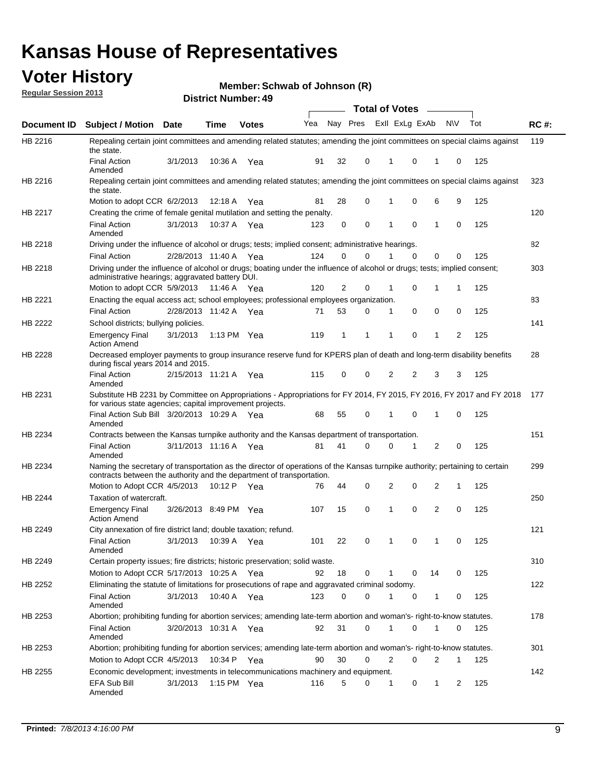### **Voter History**

**Member: Schwab of Johnson (R)** 

**Regular Session 2013**

|                    |                                                                                                                                                                                                                       |                       |         | טד . וסעווואזו וטווע |              |    |   | <b>Total of Votes</b> |          | $\sim$       |           |     |             |
|--------------------|-----------------------------------------------------------------------------------------------------------------------------------------------------------------------------------------------------------------------|-----------------------|---------|----------------------|--------------|----|---|-----------------------|----------|--------------|-----------|-----|-------------|
| <b>Document ID</b> | <b>Subject / Motion Date</b>                                                                                                                                                                                          |                       | Time    | <b>Votes</b>         | Yea Nay Pres |    |   | Exll ExLg ExAb        |          |              | <b>NV</b> | Tot | <b>RC#:</b> |
| HB 2216            | Repealing certain joint committees and amending related statutes; amending the joint committees on special claims against<br>the state.                                                                               |                       |         |                      |              |    |   |                       |          |              |           |     | 119         |
|                    | <b>Final Action</b><br>Amended                                                                                                                                                                                        | 3/1/2013              | 10:36 A | Yea                  | 91           | 32 | 0 | 1                     | 0        | 1            | 0         | 125 |             |
| HB 2216            | Repealing certain joint committees and amending related statutes; amending the joint committees on special claims against<br>the state.                                                                               |                       |         |                      |              |    |   |                       |          |              |           |     | 323         |
|                    | Motion to adopt CCR 6/2/2013                                                                                                                                                                                          |                       | 12:18 A | Yea                  | 81           | 28 | 0 | 1                     | 0        | 6            | 9         | 125 |             |
| HB 2217            | Creating the crime of female genital mutilation and setting the penalty.                                                                                                                                              |                       |         |                      |              |    |   |                       |          |              |           |     | 120         |
|                    | <b>Final Action</b><br>Amended                                                                                                                                                                                        | 3/1/2013              |         | 10:37 A Yea          | 123          | 0  | 0 | 1                     | 0        | $\mathbf{1}$ | 0         | 125 |             |
| HB 2218            | Driving under the influence of alcohol or drugs; tests; implied consent; administrative hearings.                                                                                                                     |                       |         |                      |              |    |   |                       |          |              |           |     | 82          |
|                    | <b>Final Action</b>                                                                                                                                                                                                   | 2/28/2013 11:40 A Yea |         |                      | 124          | 0  | 0 |                       | $\Omega$ | 0            | 0         | 125 |             |
| HB 2218            | Driving under the influence of alcohol or drugs; boating under the influence of alcohol or drugs; tests; implied consent;<br>administrative hearings; aggravated battery DUI.<br>Motion to adopt CCR 5/9/2013 11:46 A |                       |         | Yea                  | 120          | 2  | 0 | 1                     | 0        | 1            | 1         | 125 | 303         |
| HB 2221            | Enacting the equal access act; school employees; professional employees organization.                                                                                                                                 |                       |         |                      |              |    |   |                       |          |              |           |     | 83          |
|                    | <b>Final Action</b>                                                                                                                                                                                                   | 2/28/2013 11:42 A     |         | Yea                  | 71           | 53 | 0 | 1                     | 0        | 0            | 0         | 125 |             |
| HB 2222            |                                                                                                                                                                                                                       |                       |         |                      |              |    |   |                       |          |              |           |     | 141         |
|                    | School districts; bullying policies.<br><b>Emergency Final</b><br><b>Action Amend</b>                                                                                                                                 | 3/1/2013              |         | 1:13 PM $Yea$        | 119          | 1  | 1 | 1                     | 0        | 1            | 2         | 125 |             |
| HB 2228            | Decreased employer payments to group insurance reserve fund for KPERS plan of death and long-term disability benefits<br>during fiscal years 2014 and 2015.                                                           |                       |         |                      |              |    |   |                       |          |              |           |     | 28          |
|                    | <b>Final Action</b><br>Amended                                                                                                                                                                                        | 2/15/2013 11:21 A Yea |         |                      | 115          | 0  | 0 | 2                     | 2        | 3            | 3         | 125 |             |
| HB 2231            | Substitute HB 2231 by Committee on Appropriations - Appropriations for FY 2014, FY 2015, FY 2016, FY 2017 and FY 2018<br>for various state agencies; capital improvement projects.                                    |                       |         |                      |              |    |   |                       |          |              |           |     | 177         |
|                    | Final Action Sub Bill 3/20/2013 10:29 A Yea<br>Amended                                                                                                                                                                |                       |         |                      | 68           | 55 | 0 |                       | 0        | 1            | 0         | 125 |             |
| HB 2234            | Contracts between the Kansas turnpike authority and the Kansas department of transportation.                                                                                                                          |                       |         |                      |              |    |   |                       |          |              |           |     | 151         |
|                    | <b>Final Action</b><br>Amended                                                                                                                                                                                        | 3/11/2013 11:16 A Yea |         |                      | 81           | 41 | 0 | 0                     | 1        | 2            | 0         | 125 |             |
| HB 2234            | Naming the secretary of transportation as the director of operations of the Kansas turnpike authority; pertaining to certain<br>contracts between the authority and the department of transportation.                 |                       |         |                      |              |    |   |                       |          |              |           |     | 299         |
|                    | Motion to Adopt CCR 4/5/2013                                                                                                                                                                                          |                       | 10:12 P | Yea                  | 76           | 44 | 0 | 2                     | 0        | 2            | 1         | 125 |             |
| HB 2244            | Taxation of watercraft.<br><b>Emergency Final</b><br><b>Action Amend</b>                                                                                                                                              | 3/26/2013 8:49 PM Yea |         |                      | 107          | 15 | 0 | 1                     | 0        | 2            | 0         | 125 | 250         |
| HB 2249            | City annexation of fire district land; double taxation; refund.                                                                                                                                                       |                       |         |                      |              |    |   |                       |          |              |           |     | 121         |
|                    | Final Action 3/1/2013 10:39 A Yea<br>Amended                                                                                                                                                                          |                       |         |                      | 101          | 22 | 0 | $\mathbf{1}$          | 0        | $\mathbf{1}$ | 0         | 125 |             |
| HB 2249            | Certain property issues; fire districts; historic preservation; solid waste.                                                                                                                                          |                       |         |                      |              |    |   |                       |          |              |           |     | 310         |
|                    | Motion to Adopt CCR 5/17/2013 10:25 A Yea                                                                                                                                                                             |                       |         |                      | 92           | 18 | 0 | 1                     | 0        | 14           | 0         | 125 |             |
| HB 2252            | Eliminating the statute of limitations for prosecutions of rape and aggravated criminal sodomy.                                                                                                                       |                       |         |                      |              |    |   |                       |          |              |           |     | 122         |
|                    | <b>Final Action</b><br>Amended                                                                                                                                                                                        | 3/1/2013              |         | 10:40 A Yea          | 123          | 0  | 0 |                       | 0        | 1            | 0         | 125 |             |
| HB 2253            | Abortion; prohibiting funding for abortion services; amending late-term abortion and woman's- right-to-know statutes.                                                                                                 |                       |         |                      |              |    |   |                       |          |              |           |     | 178         |
|                    | <b>Final Action</b><br>Amended                                                                                                                                                                                        | 3/20/2013 10:31 A Yea |         |                      | 92           | 31 | 0 | 1                     | 0        | 1            | 0         | 125 |             |
| HB 2253            | Abortion; prohibiting funding for abortion services; amending late-term abortion and woman's- right-to-know statutes.                                                                                                 |                       |         |                      |              |    |   |                       |          |              |           |     | 301         |
|                    | Motion to Adopt CCR 4/5/2013                                                                                                                                                                                          |                       |         | 10:34 P Yea          | 90           | 30 | 0 | 2                     | 0        | 2            | 1         | 125 |             |
| HB 2255            | Economic development; investments in telecommunications machinery and equipment.                                                                                                                                      |                       |         |                      |              |    |   |                       |          |              |           |     | 142         |
|                    | EFA Sub Bill<br>Amended                                                                                                                                                                                               | 3/1/2013              |         | 1:15 PM $Yea$        | 116          | 5  | 0 | -1                    | 0        | 1            | 2         | 125 |             |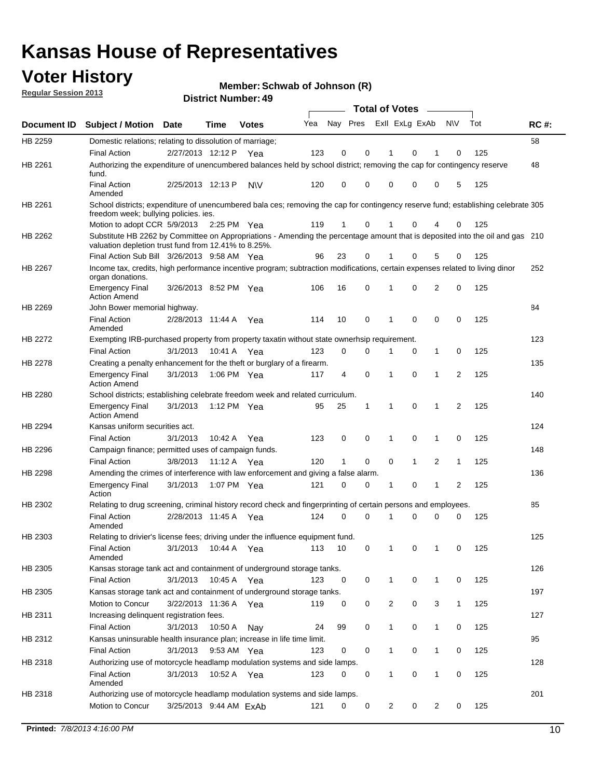### **Voter History**

**Member: Schwab of Johnson (R)** 

**Regular Session 2013**

|                    |                                                                                                                                                                                       |                        |             | טד. וסטוווטנו וטווע |     |          |             | <b>Total of Votes</b> |              | $\sim$       |                |     |             |
|--------------------|---------------------------------------------------------------------------------------------------------------------------------------------------------------------------------------|------------------------|-------------|---------------------|-----|----------|-------------|-----------------------|--------------|--------------|----------------|-----|-------------|
| <b>Document ID</b> | <b>Subject / Motion Date</b>                                                                                                                                                          |                        | <b>Time</b> | <b>Votes</b>        | Yea | Nay Pres |             | Exll ExLg ExAb        |              |              | <b>NV</b>      | Tot | <b>RC#:</b> |
| HB 2259            | Domestic relations; relating to dissolution of marriage;                                                                                                                              |                        |             |                     |     |          |             |                       |              |              |                |     | 58          |
|                    | <b>Final Action</b>                                                                                                                                                                   | 2/27/2013 12:12 P      |             | Yea                 | 123 | 0        | 0           | 1                     | 0            | 1            | 0              | 125 |             |
| HB 2261            | Authorizing the expenditure of unencumbered balances held by school district; removing the cap for contingency reserve<br>fund.                                                       |                        |             |                     |     |          |             |                       |              |              |                |     | 48          |
|                    | <b>Final Action</b><br>Amended                                                                                                                                                        | 2/25/2013 12:13 P      |             | <b>NV</b>           | 120 | 0        | 0           | 0                     | 0            | 0            | 5              | 125 |             |
| HB 2261            | School districts; expenditure of unencumbered bala ces; removing the cap for contingency reserve fund; establishing celebrate 305<br>freedom week; bullying policies. ies.            |                        |             |                     |     |          |             |                       |              |              |                |     |             |
|                    | Motion to adopt CCR 5/9/2013 2:25 PM Yea                                                                                                                                              |                        |             |                     | 119 | 1        | 0           | 1                     | 0            | 4            | 0              | 125 |             |
| HB 2262            | Substitute HB 2262 by Committee on Appropriations - Amending the percentage amount that is deposited into the oil and gas 210<br>valuation depletion trust fund from 12.41% to 8.25%. |                        |             |                     |     |          |             |                       |              |              |                |     |             |
|                    | Final Action Sub Bill 3/26/2013 9:58 AM Yea                                                                                                                                           |                        |             |                     | 96  | 23       | 0           |                       | 0            | 5            | 0              | 125 |             |
| HB 2267            | Income tax, credits, high performance incentive program; subtraction modifications, certain expenses related to living dinor<br>organ donations.                                      |                        |             |                     |     |          |             |                       |              |              |                |     | 252         |
|                    | <b>Emergency Final</b><br><b>Action Amend</b>                                                                                                                                         | 3/26/2013 8:52 PM Yea  |             |                     | 106 | 16       | 0           | 1                     | 0            | 2            | 0              | 125 |             |
| HB 2269            | John Bower memorial highway.                                                                                                                                                          |                        |             |                     |     |          |             |                       |              |              |                |     | 84          |
|                    | <b>Final Action</b><br>Amended                                                                                                                                                        | 2/28/2013 11:44 A      |             | Yea                 | 114 | 10       | 0           | 1                     | 0            | 0            | 0              | 125 |             |
| <b>HB 2272</b>     | Exempting IRB-purchased property from property taxatin without state ownerhsip requirement.                                                                                           |                        |             |                     |     |          |             |                       |              |              |                |     | 123         |
|                    | <b>Final Action</b>                                                                                                                                                                   | 3/1/2013               | 10:41 A     | Yea                 | 123 | 0        | 0           | 1                     | 0            | $\mathbf{1}$ | 0              | 125 |             |
| HB 2278            | Creating a penalty enhancement for the theft or burglary of a firearm.                                                                                                                |                        |             |                     |     |          |             |                       |              |              |                |     | 135         |
|                    | <b>Emergency Final</b><br><b>Action Amend</b>                                                                                                                                         | 3/1/2013               | 1:06 PM Yea |                     | 117 | 4        | $\mathbf 0$ | 1                     | $\Omega$     | 1            | $\overline{2}$ | 125 |             |
| HB 2280            | School districts; establishing celebrate freedom week and related curriculum.                                                                                                         |                        |             |                     |     |          |             |                       |              |              |                |     | 140         |
|                    | <b>Emergency Final</b><br><b>Action Amend</b>                                                                                                                                         | 3/1/2013               | 1:12 PM Yea |                     | 95  | 25       | 1           | 1                     | 0            | 1            | 2              | 125 |             |
| HB 2294            | Kansas uniform securities act.                                                                                                                                                        |                        |             |                     |     |          |             |                       |              |              |                |     | 124         |
|                    | <b>Final Action</b>                                                                                                                                                                   | 3/1/2013               | 10:42 A     | Yea                 | 123 | 0        | 0           | 1                     | 0            | 1            | 0              | 125 |             |
| HB 2296            | Campaign finance; permitted uses of campaign funds.                                                                                                                                   |                        |             |                     |     |          |             |                       |              |              |                |     | 148         |
|                    | <b>Final Action</b>                                                                                                                                                                   | 3/8/2013               | 11:12 A Yea |                     | 120 | 1        | 0           | 0                     | $\mathbf{1}$ | 2            | $\mathbf{1}$   | 125 |             |
| HB 2298            | Amending the crimes of interference with law enforcement and giving a false alarm.                                                                                                    |                        |             |                     |     |          |             |                       |              |              |                |     | 136         |
|                    | <b>Emergency Final</b><br>Action                                                                                                                                                      | 3/1/2013               | 1:07 PM Yea |                     | 121 | 0        | 0           | 1                     | 0            | 1            | 2              | 125 |             |
| HB 2302            | Relating to drug screening, criminal history record check and fingerprinting of certain persons and employees.                                                                        |                        |             |                     |     |          |             |                       |              |              |                |     | 85          |
|                    | <b>Final Action</b><br>Amended                                                                                                                                                        | 2/28/2013 11:45 A      |             | Yea                 | 124 | 0        | $\Omega$    | 1                     | 0            | 0            | 0              | 125 |             |
| HB 2303            | Relating to drivier's license fees; driving under the influence equipment fund.                                                                                                       |                        |             |                     |     |          |             |                       |              |              |                |     | 125         |
|                    | <b>Final Action</b><br>Amended                                                                                                                                                        | 3/1/2013               | 10:44 A     | Yea                 | 113 | 10       | 0           | 1                     | 0            | 1            | 0              | 125 |             |
| HB 2305            | Kansas storage tank act and containment of underground storage tanks.                                                                                                                 |                        |             |                     |     |          |             |                       |              |              |                |     | 126         |
|                    | Final Action                                                                                                                                                                          | 3/1/2013               | 10:45 A     | Yea                 | 123 | 0        | 0           | 1                     | 0            | 1            | 0              | 125 |             |
| HB 2305            | Kansas storage tank act and containment of underground storage tanks.                                                                                                                 |                        |             |                     |     |          |             |                       |              |              |                |     | 197         |
|                    | Motion to Concur                                                                                                                                                                      | 3/22/2013 11:36 A      |             | Yea                 | 119 | 0        | 0           | $\overline{c}$        | 0            | 3            | $\mathbf{1}$   | 125 |             |
| HB 2311            | Increasing delinquent registration fees.                                                                                                                                              |                        |             |                     |     |          |             |                       |              |              |                |     | 127         |
|                    | <b>Final Action</b>                                                                                                                                                                   | 3/1/2013               | 10:50 A     | Nay                 | 24  | 99       | 0           | 1                     | 0            | $\mathbf{1}$ | 0              | 125 |             |
| HB 2312            | Kansas uninsurable health insurance plan; increase in life time limit.                                                                                                                |                        |             |                     |     |          |             |                       |              |              |                |     | 95          |
|                    | <b>Final Action</b>                                                                                                                                                                   | 3/1/2013               | 9:53 AM Yea |                     | 123 | 0        | 0           |                       | 0            | 1            | 0              | 125 |             |
| HB 2318            | Authorizing use of motorcycle headlamp modulation systems and side lamps.                                                                                                             |                        |             |                     |     |          |             |                       |              |              |                |     | 128         |
|                    | <b>Final Action</b><br>Amended                                                                                                                                                        | 3/1/2013               | 10:52 A     | Yea                 | 123 | 0        | 0           | 1                     | 0            | 1            | 0              | 125 |             |
| HB 2318            | Authorizing use of motorcycle headlamp modulation systems and side lamps.                                                                                                             |                        |             |                     |     |          |             |                       |              |              |                |     | 201         |
|                    | Motion to Concur                                                                                                                                                                      | 3/25/2013 9:44 AM ExAb |             |                     | 121 | 0        | 0           | 2                     | 0            | 2            | 0              | 125 |             |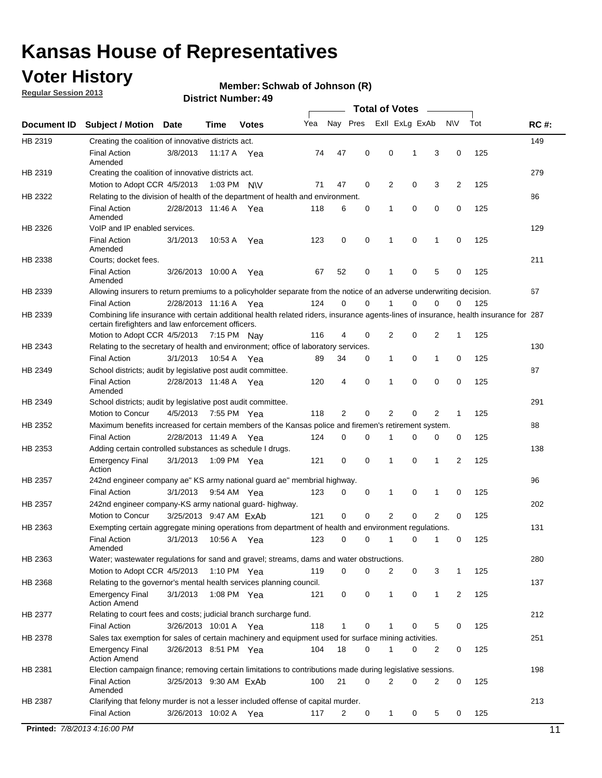### **Voter History**

**Member: Schwab of Johnson (R)** 

**Regular Session 2013**

|             |                                                                                                                                                                                             |                        |             |               |     |             |             | <b>Total of Votes</b> |   |                |           |     |             |
|-------------|---------------------------------------------------------------------------------------------------------------------------------------------------------------------------------------------|------------------------|-------------|---------------|-----|-------------|-------------|-----------------------|---|----------------|-----------|-----|-------------|
| Document ID | <b>Subject / Motion</b>                                                                                                                                                                     | <b>Date</b>            | Time        | <b>Votes</b>  | Yea | Nay Pres    |             | Exll ExLg ExAb        |   |                | <b>NV</b> | Tot | <b>RC#:</b> |
| HB 2319     | Creating the coalition of innovative districts act.                                                                                                                                         |                        |             |               |     |             |             |                       |   |                |           |     | 149         |
|             | <b>Final Action</b>                                                                                                                                                                         | 3/8/2013               | 11:17 A     | Yea           | 74  | 47          | 0           | 0                     | 1 | 3              | 0         | 125 |             |
|             | Amended                                                                                                                                                                                     |                        |             |               |     |             |             |                       |   |                |           |     |             |
| HB 2319     | Creating the coalition of innovative districts act.                                                                                                                                         |                        |             |               |     |             |             |                       |   |                |           |     | 279         |
|             | Motion to Adopt CCR 4/5/2013                                                                                                                                                                |                        |             | 1:03 PM N\V   | 71  | 47          | 0           | 2                     | 0 | 3              | 2         | 125 |             |
| HB 2322     | Relating to the division of health of the department of health and environment.                                                                                                             |                        |             |               |     |             |             |                       |   |                |           |     | 86          |
|             | <b>Final Action</b><br>Amended                                                                                                                                                              | 2/28/2013 11:46 A Yea  |             |               | 118 | 6           | 0           | 1                     | 0 | 0              | 0         | 125 |             |
| HB 2326     | VoIP and IP enabled services.                                                                                                                                                               |                        |             |               |     |             |             |                       |   |                |           |     | 129         |
|             | <b>Final Action</b>                                                                                                                                                                         | 3/1/2013               | 10.53 A     | Yea           | 123 | $\mathbf 0$ | 0           | $\mathbf{1}$          | 0 | 1              | 0         | 125 |             |
|             | Amended                                                                                                                                                                                     |                        |             |               |     |             |             |                       |   |                |           |     |             |
| HB 2338     | Courts; docket fees.                                                                                                                                                                        |                        |             |               |     |             |             |                       |   |                |           |     | 211         |
|             | <b>Final Action</b>                                                                                                                                                                         | 3/26/2013 10:00 A      |             | Yea           | 67  | 52          | 0           | $\mathbf 1$           | 0 | 5              | 0         | 125 |             |
|             | Amended                                                                                                                                                                                     |                        |             |               |     |             |             |                       |   |                |           |     |             |
| HB 2339     | Allowing insurers to return premiums to a policyholder separate from the notice of an adverse underwriting decision.                                                                        |                        |             |               |     |             |             |                       |   |                |           |     | 67          |
|             | <b>Final Action</b>                                                                                                                                                                         | 2/28/2013 11:16 A Yea  |             |               | 124 | 0           | 0           |                       | 0 | 0              | 0         | 125 |             |
| HB 2339     | Combining life insurance with certain additional health related riders, insurance agents-lines of insurance, health insurance for 287<br>certain firefighters and law enforcement officers. |                        |             |               |     |             |             |                       |   |                |           |     |             |
|             | Motion to Adopt CCR 4/5/2013 7:15 PM Nay                                                                                                                                                    |                        |             |               | 116 | 4           | 0           | 2                     | 0 | 2              | -1        | 125 |             |
| HB 2343     | Relating to the secretary of health and environment; office of laboratory services.                                                                                                         |                        |             |               |     |             |             |                       |   |                |           |     | 130         |
|             | <b>Final Action</b>                                                                                                                                                                         | 3/1/2013               | 10:54 A Yea |               | 89  | 34          | 0           | 1                     | 0 | $\mathbf{1}$   | 0         | 125 |             |
| HB 2349     | School districts; audit by legislative post audit committee.                                                                                                                                |                        |             |               |     |             |             |                       |   |                |           |     | 87          |
|             | <b>Final Action</b>                                                                                                                                                                         | 2/28/2013 11:48 A Yea  |             |               | 120 | 4           | $\mathbf 0$ | $\mathbf{1}$          | 0 | $\mathbf 0$    | 0         | 125 |             |
|             | Amended                                                                                                                                                                                     |                        |             |               |     |             |             |                       |   |                |           |     |             |
| HB 2349     | School districts; audit by legislative post audit committee.                                                                                                                                |                        |             |               |     |             |             |                       |   |                |           |     | 291         |
|             | Motion to Concur                                                                                                                                                                            | 4/5/2013               |             | 7:55 PM Yea   | 118 | 2           | 0           | 2                     | 0 | 2              | 1         | 125 |             |
| HB 2352     | Maximum benefits increased for certain members of the Kansas police and firemen's retirement system.                                                                                        |                        |             |               |     |             |             |                       |   |                |           |     | 88          |
|             | <b>Final Action</b>                                                                                                                                                                         | 2/28/2013 11:49 A      |             | Yea           | 124 | 0           | 0           | 1                     | 0 | 0              | 0         | 125 |             |
| HB 2353     | Adding certain controlled substances as schedule I drugs.                                                                                                                                   |                        |             |               |     |             |             |                       |   |                |           |     | 138         |
|             | Emergency Final<br>Action                                                                                                                                                                   | 3/1/2013               |             | 1:09 PM Yea   | 121 | 0           | 0           | $\mathbf{1}$          | 0 | 1              | 2         | 125 |             |
| HB 2357     | 242nd engineer company ae" KS army national guard ae" membrial highway.                                                                                                                     |                        |             |               |     |             |             |                       |   |                |           |     | 96          |
|             | <b>Final Action</b>                                                                                                                                                                         | 3/1/2013               |             | 9:54 AM Yea   | 123 | 0           | 0           | 1                     | 0 | 1              | 0         | 125 |             |
| HB 2357     | 242nd engineer company-KS army national guard- highway.                                                                                                                                     |                        |             |               |     |             |             |                       |   |                |           |     | 202         |
|             | Motion to Concur                                                                                                                                                                            | 3/25/2013 9:47 AM ExAb |             |               | 121 | $\mathbf 0$ | $\mathbf 0$ | 2                     | 0 | $\overline{2}$ | 0         | 125 |             |
| HB 2363     | Exempting certain aggregate mining operations from department of health and environment regulations.                                                                                        |                        |             |               |     |             |             |                       |   |                |           |     | 131         |
|             | <b>Final Action</b>                                                                                                                                                                         | 3/1/2013               |             | 10:56 A Yea   | 123 | 0           | 0           | 1                     | 0 | 1              | 0         | 125 |             |
|             | Amended                                                                                                                                                                                     |                        |             |               |     |             |             |                       |   |                |           |     |             |
| HB 2363     | Water; wastewater regulations for sand and gravel; streams, dams and water obstructions.                                                                                                    |                        |             |               |     |             |             |                       |   |                |           |     | 280         |
|             | Motion to Adopt CCR 4/5/2013                                                                                                                                                                |                        |             | 1:10 PM $Yea$ | 119 | 0           | 0           | 2                     | 0 | 3              | 1         | 125 |             |
| HB 2368     | Relating to the governor's mental health services planning council.                                                                                                                         |                        |             |               |     |             |             |                       |   |                |           |     | 137         |
|             | Emergency Final<br><b>Action Amend</b>                                                                                                                                                      | 3/1/2013               |             | 1:08 PM Yea   | 121 | 0           | 0           | 1                     | 0 | $\mathbf{1}$   | 2         | 125 |             |
| HB 2377     | Relating to court fees and costs; judicial branch surcharge fund.                                                                                                                           |                        |             |               |     |             |             |                       |   |                |           |     | 212         |
|             | Final Action                                                                                                                                                                                | 3/26/2013 10:01 A Yea  |             |               | 118 | 1           | 0           |                       | 0 | 5              | 0         | 125 |             |
| HB 2378     | Sales tax exemption for sales of certain machinery and equipment used for surface mining activities.                                                                                        |                        |             |               |     |             |             |                       |   |                |           |     | 251         |
|             | Emergency Final<br><b>Action Amend</b>                                                                                                                                                      | 3/26/2013 8:51 PM Yea  |             |               | 104 | 18          | 0           | 1                     | 0 | 2              | 0         | 125 |             |
| HB 2381     | Election campaign finance; removing certain limitations to contributions made during legislative sessions.                                                                                  |                        |             |               |     |             |             |                       |   |                |           |     | 198         |
|             | <b>Final Action</b>                                                                                                                                                                         | 3/25/2013 9:30 AM ExAb |             |               | 100 | 21          | 0           | 2                     | 0 | 2              | 0         | 125 |             |
|             | Amended                                                                                                                                                                                     |                        |             |               |     |             |             |                       |   |                |           |     |             |
| HB 2387     | Clarifying that felony murder is not a lesser included offense of capital murder.                                                                                                           |                        |             |               |     |             |             |                       |   |                |           |     | 213         |
|             | <b>Final Action</b>                                                                                                                                                                         | 3/26/2013 10:02 A      |             | Yea           | 117 | 2           | 0           | 1                     | 0 | 5              | 0         | 125 |             |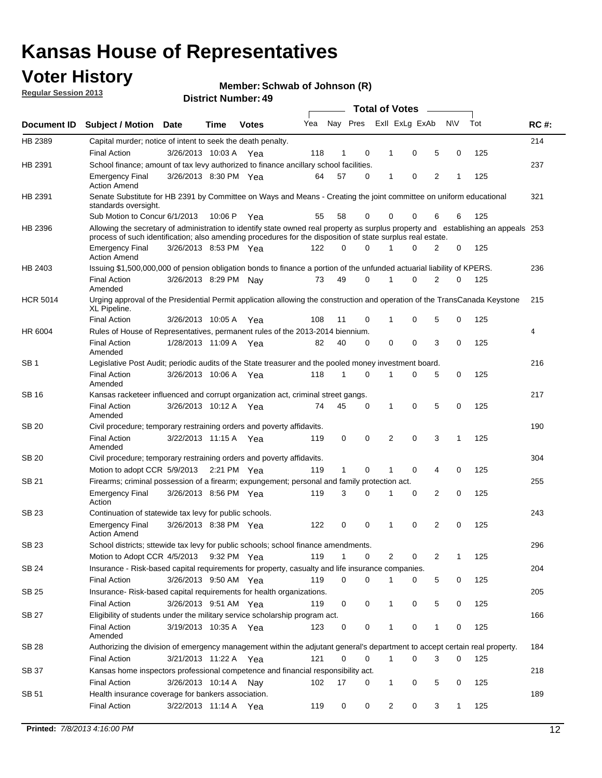### **Voter History**

**Member: Schwab of Johnson (R)** 

**Regular Session 2013**

|                 |                                                                                                                                                                                                                                                  |                       |         |              |     |              |   | <b>Total of Votes</b> |             |   |              |     |             |
|-----------------|--------------------------------------------------------------------------------------------------------------------------------------------------------------------------------------------------------------------------------------------------|-----------------------|---------|--------------|-----|--------------|---|-----------------------|-------------|---|--------------|-----|-------------|
| Document ID     | <b>Subject / Motion</b>                                                                                                                                                                                                                          | <b>Date</b>           | Time    | <b>Votes</b> | Yea | Nay Pres     |   | Exll ExLg ExAb        |             |   | <b>NV</b>    | Tot | <b>RC#:</b> |
| HB 2389         | Capital murder; notice of intent to seek the death penalty.                                                                                                                                                                                      |                       |         |              |     |              |   |                       |             |   |              |     | 214         |
|                 | <b>Final Action</b>                                                                                                                                                                                                                              | 3/26/2013 10:03 A     |         | Yea          | 118 | 1            | 0 | 1                     | 0           | 5 | 0            | 125 |             |
| HB 2391         | School finance; amount of tax levy authorized to finance ancillary school facilities.                                                                                                                                                            |                       |         |              |     |              |   |                       |             |   |              |     | 237         |
|                 | <b>Emergency Final</b><br><b>Action Amend</b>                                                                                                                                                                                                    | 3/26/2013 8:30 PM Yea |         |              | 64  | 57           | 0 | 1                     | 0           | 2 | 1            | 125 |             |
| HB 2391         | Senate Substitute for HB 2391 by Committee on Ways and Means - Creating the joint committee on uniform educational<br>standards oversight.                                                                                                       |                       |         |              |     |              |   |                       |             |   |              |     | 321         |
|                 | Sub Motion to Concur 6/1/2013                                                                                                                                                                                                                    |                       | 10:06 P | Yea          | 55  | 58           | 0 | 0                     | 0           | 6 | 6            | 125 |             |
| HB 2396         | Allowing the secretary of administration to identify state owned real property as surplus property and establishing an appeals 253<br>process of such identification; also amending procedures for the disposition of state surplus real estate. |                       |         |              |     |              |   |                       |             |   |              |     |             |
|                 | <b>Emergency Final</b><br><b>Action Amend</b>                                                                                                                                                                                                    | 3/26/2013 8:53 PM Yea |         |              | 122 | 0            | 0 | 1                     | 0           | 2 | 0            | 125 |             |
| HB 2403         | Issuing \$1,500,000,000 of pension obligation bonds to finance a portion of the unfunded actuarial liability of KPERS.                                                                                                                           |                       |         |              |     |              |   |                       |             |   |              |     | 236         |
|                 | <b>Final Action</b><br>Amended                                                                                                                                                                                                                   | 3/26/2013 8:29 PM Nay |         |              | 73  | 49           | 0 | 1                     | 0           | 2 | 0            | 125 |             |
| <b>HCR 5014</b> | Urging approval of the Presidential Permit application allowing the construction and operation of the TransCanada Keystone<br>XL Pipeline.                                                                                                       |                       |         |              |     |              |   |                       |             |   |              |     | 215         |
|                 | <b>Final Action</b>                                                                                                                                                                                                                              | 3/26/2013 10:05 A     |         | Yea          | 108 | 11           | 0 |                       | 0           | 5 | 0            | 125 |             |
| HR 6004         | Rules of House of Representatives, permanent rules of the 2013-2014 biennium.                                                                                                                                                                    |                       |         |              |     |              |   |                       |             |   |              |     | 4           |
|                 | <b>Final Action</b><br>Amended                                                                                                                                                                                                                   | 1/28/2013 11:09 A     |         | Yea          | 82  | 40           | 0 | 0                     | 0           | 3 | 0            | 125 |             |
| SB 1            | Legislative Post Audit; periodic audits of the State treasurer and the pooled money investment board.                                                                                                                                            |                       |         |              |     |              |   |                       |             |   |              |     | 216         |
|                 | <b>Final Action</b><br>Amended                                                                                                                                                                                                                   | 3/26/2013 10:06 A Yea |         |              | 118 | $\mathbf{1}$ | 0 | 1                     | 0           | 5 | 0            | 125 |             |
| SB 16           | Kansas racketeer influenced and corrupt organization act, criminal street gangs.                                                                                                                                                                 |                       |         |              |     |              |   |                       |             |   |              |     | 217         |
|                 | <b>Final Action</b><br>Amended                                                                                                                                                                                                                   | 3/26/2013 10:12 A Yea |         |              | 74  | 45           | 0 | 1                     | $\mathbf 0$ | 5 | 0            | 125 |             |
| SB 20           | Civil procedure; temporary restraining orders and poverty affidavits.                                                                                                                                                                            |                       |         |              |     |              |   |                       |             |   |              |     | 190         |
|                 | <b>Final Action</b><br>Amended                                                                                                                                                                                                                   | 3/22/2013 11:15 A     |         | Yea          | 119 | 0            | 0 | 2                     | 0           | 3 | $\mathbf{1}$ | 125 |             |
| <b>SB 20</b>    | Civil procedure; temporary restraining orders and poverty affidavits.                                                                                                                                                                            |                       |         |              |     |              |   |                       |             |   |              |     | 304         |
|                 | Motion to adopt CCR 5/9/2013 2:21 PM Yea                                                                                                                                                                                                         |                       |         |              | 119 | 1            | 0 | 1                     | 0           | 4 | 0            | 125 |             |
| SB 21           | Firearms; criminal possession of a firearm; expungement; personal and family protection act.                                                                                                                                                     |                       |         |              |     |              |   |                       |             |   |              |     | 255         |
|                 | <b>Emergency Final</b><br>Action                                                                                                                                                                                                                 | 3/26/2013 8:56 PM Yea |         |              | 119 | 3            | 0 | 1                     | 0           | 2 | 0            | 125 |             |
| SB 23           | Continuation of statewide tax levy for public schools.                                                                                                                                                                                           |                       |         |              |     |              |   |                       |             |   |              |     | 243         |
|                 | <b>Emergency Final</b><br><b>Action Amend</b>                                                                                                                                                                                                    | 3/26/2013 8:38 PM Yea |         |              | 122 | 0            | 0 | 1                     | 0           | 2 | 0            | 125 |             |
| <b>SB 23</b>    | School districts; sttewide tax levy for public schools; school finance amendments.                                                                                                                                                               |                       |         |              |     |              |   |                       |             |   |              |     | 296         |
|                 | Motion to Adopt CCR 4/5/2013 9:32 PM Yea                                                                                                                                                                                                         |                       |         |              | 119 | $\mathbf{1}$ | 0 | 2                     | 0           | 2 | 1            | 125 |             |
| <b>SB 24</b>    | Insurance - Risk-based capital requirements for property, casualty and life insurance companies.                                                                                                                                                 |                       |         |              |     |              |   |                       |             |   |              |     | 204         |
|                 | <b>Final Action</b>                                                                                                                                                                                                                              | 3/26/2013 9:50 AM Yea |         |              | 119 | 0            | 0 | 1                     | 0           | 5 | 0            | 125 |             |
| SB 25           | Insurance-Risk-based capital requirements for health organizations.                                                                                                                                                                              |                       |         |              |     |              |   |                       |             |   |              |     | 205         |
|                 | <b>Final Action</b>                                                                                                                                                                                                                              | 3/26/2013 9:51 AM Yea |         |              | 119 | 0            | 0 | 1                     | 0           | 5 | 0            | 125 |             |
| SB 27           | Eligibility of students under the military service scholarship program act.                                                                                                                                                                      |                       |         |              |     |              |   |                       |             |   |              |     | 166         |
|                 | <b>Final Action</b><br>Amended                                                                                                                                                                                                                   | 3/19/2013 10:35 A Yea |         |              | 123 | 0            | 0 |                       | 0           | 1 | 0            | 125 |             |
| SB 28           | Authorizing the division of emergency management within the adjutant general's department to accept certain real property.                                                                                                                       |                       |         |              |     |              |   |                       |             |   |              |     | 184         |
|                 | <b>Final Action</b>                                                                                                                                                                                                                              | 3/21/2013 11:22 A Yea |         |              | 121 | $\Omega$     | 0 | $\mathbf{1}$          | 0           | 3 | $\Omega$     | 125 |             |
| SB 37           | Kansas home inspectors professional competence and financial responsibility act.                                                                                                                                                                 |                       |         |              |     |              |   |                       |             |   |              |     | 218         |
|                 | <b>Final Action</b>                                                                                                                                                                                                                              | 3/26/2013 10:14 A Nay |         |              | 102 | 17           | 0 | 1                     | 0           | 5 | 0            | 125 |             |
| SB 51           | Health insurance coverage for bankers association.                                                                                                                                                                                               |                       |         |              |     |              |   |                       |             |   |              |     | 189         |
|                 | <b>Final Action</b>                                                                                                                                                                                                                              | 3/22/2013 11:14 A Yea |         |              | 119 | 0            | 0 | $\overline{2}$        | 0           | 3 | $\mathbf{1}$ | 125 |             |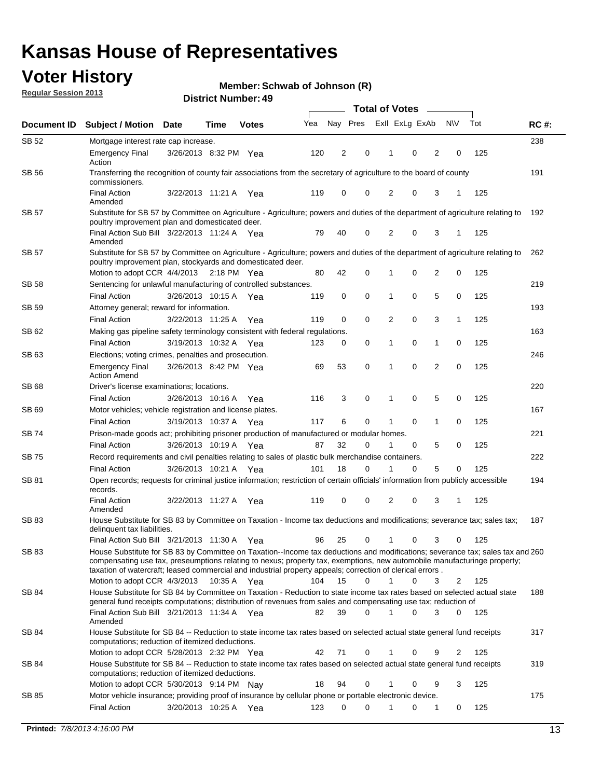### **Voter History**

**Member: Schwab of Johnson (R)** 

**Regular Session 2013**

|              |                                                                                                                                                                                                                                                                                                                                                                         |                       |      |              |     | <b>Total of Votes</b> |          |                |             |                |                |     |             |  |
|--------------|-------------------------------------------------------------------------------------------------------------------------------------------------------------------------------------------------------------------------------------------------------------------------------------------------------------------------------------------------------------------------|-----------------------|------|--------------|-----|-----------------------|----------|----------------|-------------|----------------|----------------|-----|-------------|--|
| Document ID  | <b>Subject / Motion</b>                                                                                                                                                                                                                                                                                                                                                 | <b>Date</b>           | Time | <b>Votes</b> | Yea | Nay Pres              |          | Exll ExLg ExAb |             |                | <b>NV</b>      | Tot | <b>RC#:</b> |  |
| SB 52        | Mortgage interest rate cap increase.                                                                                                                                                                                                                                                                                                                                    |                       |      |              |     |                       |          |                |             |                |                |     | 238         |  |
|              | <b>Emergency Final</b><br>Action                                                                                                                                                                                                                                                                                                                                        | 3/26/2013 8:32 PM Yea |      |              | 120 | 2                     | 0        |                | 0           | 2              | 0              | 125 |             |  |
| <b>SB 56</b> | Transferring the recognition of county fair associations from the secretary of agriculture to the board of county<br>commissioners.                                                                                                                                                                                                                                     |                       |      |              |     |                       |          |                |             |                |                |     | 191         |  |
|              | <b>Final Action</b><br>Amended                                                                                                                                                                                                                                                                                                                                          | 3/22/2013 11:21 A     |      | Yea          | 119 | 0                     | 0        | 2              | 0           | 3              | 1              | 125 |             |  |
| SB 57        | Substitute for SB 57 by Committee on Agriculture - Agriculture; powers and duties of the department of agriculture relating to<br>poultry improvement plan and domesticated deer.                                                                                                                                                                                       |                       |      |              |     |                       |          |                |             |                |                |     | 192         |  |
|              | Final Action Sub Bill 3/22/2013 11:24 A Yea<br>Amended                                                                                                                                                                                                                                                                                                                  |                       |      |              | 79  | 40                    | 0        | 2              | 0           | 3              | -1             | 125 |             |  |
| SB 57        | Substitute for SB 57 by Committee on Agriculture - Agriculture; powers and duties of the department of agriculture relating to<br>poultry improvement plan, stockyards and domesticated deer.                                                                                                                                                                           |                       |      |              |     |                       |          |                |             |                |                |     | 262         |  |
|              | Motion to adopt CCR 4/4/2013 2:18 PM Yea                                                                                                                                                                                                                                                                                                                                |                       |      |              | 80  | 42                    | 0        | 1              | 0           | $\overline{2}$ | 0              | 125 |             |  |
| SB 58        | Sentencing for unlawful manufacturing of controlled substances.                                                                                                                                                                                                                                                                                                         |                       |      |              |     |                       |          |                |             |                |                |     | 219         |  |
|              | <b>Final Action</b>                                                                                                                                                                                                                                                                                                                                                     | 3/26/2013 10:15 A     |      | Yea          | 119 | 0                     | 0        | 1              | 0           | 5              | 0              | 125 |             |  |
| SB 59        | Attorney general; reward for information.                                                                                                                                                                                                                                                                                                                               |                       |      |              |     |                       |          |                |             |                |                |     | 193         |  |
|              | <b>Final Action</b>                                                                                                                                                                                                                                                                                                                                                     | 3/22/2013 11:25 A     |      | Yea          | 119 | 0                     | 0        | 2              | 0           | 3              | 1              | 125 |             |  |
| SB 62        | Making gas pipeline safety terminology consistent with federal regulations.                                                                                                                                                                                                                                                                                             |                       |      |              |     |                       |          |                |             |                |                |     | 163         |  |
|              | <b>Final Action</b>                                                                                                                                                                                                                                                                                                                                                     | 3/19/2013 10:32 A Yea |      |              | 123 | 0                     | 0        | 1              | 0           | 1              | 0              | 125 |             |  |
| SB 63        | Elections; voting crimes, penalties and prosecution.                                                                                                                                                                                                                                                                                                                    |                       |      |              |     |                       |          |                |             |                |                |     | 246         |  |
|              | <b>Emergency Final</b><br><b>Action Amend</b>                                                                                                                                                                                                                                                                                                                           | 3/26/2013 8:42 PM Yea |      |              | 69  | 53                    | 0        | 1              | $\mathbf 0$ | $\overline{2}$ | $\mathbf 0$    | 125 |             |  |
| <b>SB68</b>  | Driver's license examinations; locations.                                                                                                                                                                                                                                                                                                                               |                       |      |              |     |                       |          |                | 0           | 5              | 0              |     | 220         |  |
| SB 69        | <b>Final Action</b><br>Motor vehicles; vehicle registration and license plates.                                                                                                                                                                                                                                                                                         | 3/26/2013 10:16 A     |      | Yea          | 116 | 3                     | 0        | 1              |             |                |                | 125 | 167         |  |
|              | <b>Final Action</b>                                                                                                                                                                                                                                                                                                                                                     | 3/19/2013 10:37 A     |      |              | 117 | 6                     | 0        | 1              | 0           | $\mathbf{1}$   | 0              | 125 |             |  |
| SB 74        | Prison-made goods act; prohibiting prisoner production of manufactured or modular homes.                                                                                                                                                                                                                                                                                |                       |      | Yea          |     |                       |          |                |             |                |                |     | 221         |  |
|              | <b>Final Action</b>                                                                                                                                                                                                                                                                                                                                                     | 3/26/2013 10:19 A     |      |              | 87  | 32                    | 0        | 1              | 0           | 5              | 0              | 125 |             |  |
| SB 75        | Record requirements and civil penalties relating to sales of plastic bulk merchandise containers.                                                                                                                                                                                                                                                                       |                       |      | Yea          |     |                       |          |                |             |                |                |     | 222         |  |
|              | <b>Final Action</b>                                                                                                                                                                                                                                                                                                                                                     | 3/26/2013 10:21 A     |      | Yea          | 101 | 18                    | 0        | 1              | 0           | 5              | 0              | 125 |             |  |
| SB 81        | Open records; requests for criminal justice information; restriction of certain officials' information from publicly accessible                                                                                                                                                                                                                                         |                       |      |              |     |                       |          |                |             |                |                |     | 194         |  |
|              | records.<br><b>Final Action</b>                                                                                                                                                                                                                                                                                                                                         | 3/22/2013 11:27 A     |      | Yea          | 119 | 0                     | 0        | 2              | 0           | 3              | 1              | 125 |             |  |
|              | Amended                                                                                                                                                                                                                                                                                                                                                                 |                       |      |              |     |                       |          |                |             |                |                |     |             |  |
| <b>SB 83</b> | House Substitute for SB 83 by Committee on Taxation - Income tax deductions and modifications; severance tax; sales tax;<br>delinquent tax liabilities.                                                                                                                                                                                                                 |                       |      |              |     |                       |          |                |             |                |                |     | 187         |  |
|              | Final Action Sub Bill 3/21/2013 11:30 A Yea                                                                                                                                                                                                                                                                                                                             |                       |      |              | 96  | 25                    | 0        | $\mathbf{1}$   | 0           | 3              | 0              | 125 |             |  |
| SB 83        | House Substitute for SB 83 by Committee on Taxation--Income tax deductions and modifications; severance tax; sales tax and 260<br>compensating use tax, preseumptions relating to nexus; property tax, exemptions, new automobile manufacturinge property;<br>taxation of watercraft; leased commercial and industrial property appeals; correction of clerical errors. |                       |      |              |     |                       |          |                |             |                |                |     |             |  |
|              | Motion to adopt CCR 4/3/2013 10:35 A Yea                                                                                                                                                                                                                                                                                                                                |                       |      |              | 104 | 15                    | 0        | $\mathbf{1}$   | 0           | 3              | 2              | 125 |             |  |
| SB 84        | House Substitute for SB 84 by Committee on Taxation - Reduction to state income tax rates based on selected actual state<br>general fund receipts computations; distribution of revenues from sales and compensating use tax; reduction of<br>Final Action Sub Bill 3/21/2013 11:34 A Yea                                                                               |                       |      |              | 82  | 39                    | $\Omega$ | 1              | $\Omega$    | 3              | $\overline{0}$ | 125 | 188         |  |
|              | Amended                                                                                                                                                                                                                                                                                                                                                                 |                       |      |              |     |                       |          |                |             |                |                |     |             |  |
| SB 84        | House Substitute for SB 84 -- Reduction to state income tax rates based on selected actual state general fund receipts<br>computations; reduction of itemized deductions.                                                                                                                                                                                               |                       |      |              |     |                       |          |                |             |                |                |     | 317         |  |
|              | Motion to adopt CCR 5/28/2013 2:32 PM Yea                                                                                                                                                                                                                                                                                                                               |                       |      |              | 42  | 71                    | 0        | 1              | 0           | 9              | $\overline{2}$ | 125 |             |  |
| SB 84        | House Substitute for SB 84 -- Reduction to state income tax rates based on selected actual state general fund receipts<br>computations; reduction of itemized deductions.                                                                                                                                                                                               |                       |      |              |     |                       |          |                |             |                |                |     | 319         |  |
|              | Motion to adopt CCR 5/30/2013 9:14 PM Nay                                                                                                                                                                                                                                                                                                                               |                       |      |              | 18  | 94                    | 0        | 1              | 0           | 9              | 3              | 125 |             |  |
| SB 85        | Motor vehicle insurance; providing proof of insurance by cellular phone or portable electronic device.                                                                                                                                                                                                                                                                  |                       |      |              |     | $\Omega$              | $\Omega$ |                |             |                |                |     | 175         |  |
|              | <b>Final Action</b>                                                                                                                                                                                                                                                                                                                                                     | 3/20/2013 10:25 A Yea |      |              | 123 |                       |          |                | 0           | 1              | 0              | 125 |             |  |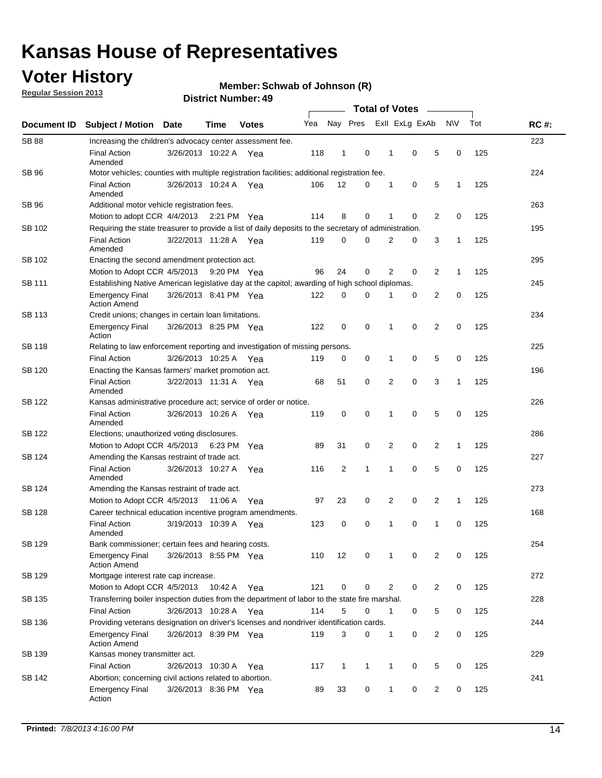### **Voter History**

**Regular Session 2013**

#### **Member: Schwab of Johnson (R)**

| Document ID   | <b>Subject / Motion Date</b>                                                                          |                       | Time    | <b>Votes</b> | Yea | Nay Pres       |              |   | Exll ExLg ExAb |                | <b>NV</b>    | Tot | <b>RC#:</b> |
|---------------|-------------------------------------------------------------------------------------------------------|-----------------------|---------|--------------|-----|----------------|--------------|---|----------------|----------------|--------------|-----|-------------|
| <b>SB 88</b>  | Increasing the children's advocacy center assessment fee.                                             |                       |         |              |     |                |              |   |                |                |              |     | 223         |
|               | <b>Final Action</b><br>Amended                                                                        | 3/26/2013 10:22 A Yea |         |              | 118 | $\mathbf{1}$   | 0            | 1 | 0              | 5              | 0            | 125 |             |
| SB 96         | Motor vehicles; counties with multiple registration facilities; additional registration fee.          |                       |         |              |     |                |              |   |                |                |              |     | 224         |
|               | <b>Final Action</b><br>Amended                                                                        | 3/26/2013 10:24 A Yea |         |              | 106 | 12             | 0            | 1 | 0              | 5              | 1            | 125 |             |
| SB 96         | Additional motor vehicle registration fees.                                                           |                       |         |              |     |                |              |   |                |                |              |     | 263         |
|               | Motion to adopt CCR 4/4/2013 2:21 PM Yea                                                              |                       |         |              | 114 | 8              | 0            | 1 | 0              | 2              | 0            | 125 |             |
| SB 102        | Requiring the state treasurer to provide a list of daily deposits to the secretary of administration. |                       |         |              |     |                |              |   |                |                |              |     | 195         |
|               | <b>Final Action</b><br>Amended                                                                        | 3/22/2013 11:28 A Yea |         |              | 119 | 0              | 0            | 2 | 0              | 3              | 1            | 125 |             |
| SB 102        | Enacting the second amendment protection act.                                                         |                       |         |              |     |                |              |   |                |                |              |     | 295         |
|               | Motion to Adopt CCR 4/5/2013                                                                          |                       |         | 9:20 PM Yea  | 96  | 24             | 0            | 2 | 0              | $\overline{2}$ | 1            | 125 |             |
| SB 111        | Establishing Native American legislative day at the capitol; awarding of high school diplomas.        |                       |         |              |     |                |              |   |                |                |              |     |             |
|               | <b>Emergency Final</b><br><b>Action Amend</b>                                                         | 3/26/2013 8:41 PM Yea |         |              | 122 | 0              | 0            | 1 | 0              | 2              | 0            | 125 |             |
| SB 113        | Credit unions; changes in certain loan limitations.                                                   |                       |         |              |     |                |              |   |                |                |              |     | 234         |
|               | <b>Emergency Final</b><br>Action                                                                      | 3/26/2013 8:25 PM Yea |         |              | 122 | 0              | 0            | 1 | 0              | 2              | 0            | 125 |             |
| SB 118        | Relating to law enforcement reporting and investigation of missing persons.                           |                       |         |              |     |                |              |   |                |                |              |     | 225         |
|               | <b>Final Action</b>                                                                                   | 3/26/2013 10:25 A Yea |         |              | 119 | 0              | 0            | 1 | 0              | 5              | 0            | 125 |             |
| SB 120        | Enacting the Kansas farmers' market promotion act.                                                    |                       |         |              |     |                |              |   |                |                |              |     | 196         |
|               | <b>Final Action</b><br>Amended                                                                        | 3/22/2013 11:31 A Yea |         |              | 68  | 51             | 0            | 2 | $\mathbf 0$    | 3              | $\mathbf{1}$ | 125 |             |
| SB 122        | Kansas administrative procedure act; service of order or notice.                                      |                       |         |              |     |                |              |   |                |                |              |     | 226         |
|               | <b>Final Action</b><br>Amended                                                                        | 3/26/2013 10:26 A     |         | Yea          | 119 | 0              | 0            | 1 | $\mathbf 0$    | 5              | 0            | 125 |             |
| SB 122        | Elections; unauthorized voting disclosures.                                                           |                       |         |              |     |                |              |   |                |                |              |     |             |
|               | Motion to Adopt CCR 4/5/2013                                                                          |                       | 6:23 PM | Yea          | 89  | 31             | 0            | 2 | 0              | 2              | 1            | 125 |             |
| SB 124        | Amending the Kansas restraint of trade act.                                                           |                       |         |              |     |                |              |   |                |                |              |     | 227         |
|               | <b>Final Action</b><br>Amended                                                                        | 3/26/2013 10:27 A     |         | Yea          | 116 | $\overline{2}$ | 1            | 1 | 0              | 5              | 0            | 125 |             |
| SB 124        | Amending the Kansas restraint of trade act.                                                           |                       |         |              |     |                |              |   |                |                |              |     | 273         |
|               | Motion to Adopt CCR 4/5/2013                                                                          |                       | 11:06 A | Yea          | 97  | 23             | 0            | 2 | 0              | $\overline{2}$ | $\mathbf{1}$ | 125 |             |
| <b>SB 128</b> | Career technical education incentive program amendments.                                              |                       |         |              |     |                |              |   |                |                |              |     | 168         |
|               | <b>Final Action</b><br>Amended                                                                        | 3/19/2013 10:39 A Yea |         |              | 123 | 0              | 0            | 1 | 0              | 1              | 0            | 125 |             |
| <b>SB 129</b> | Bank commissioner; certain fees and hearing costs.                                                    |                       |         |              |     |                |              |   |                |                |              |     | 254         |
|               | <b>Emergency Final</b><br><b>Action Amend</b>                                                         | 3/26/2013 8:55 PM Yea |         |              | 110 | 12             | 0            | 1 | 0              | 2              | 0            | 125 |             |
| SB 129        | Mortgage interest rate cap increase.                                                                  |                       |         |              |     |                |              |   |                |                |              |     | 272         |
|               | Motion to Adopt CCR 4/5/2013                                                                          |                       | 10:42 A | Yea          | 121 | 0              | 0            | 2 | 0              | $\overline{c}$ | 0            | 125 |             |
| SB 135        | Transferring boiler inspection duties from the department of labor to the state fire marshal.         |                       |         |              |     |                |              |   |                |                |              |     | 228         |
|               | <b>Final Action</b>                                                                                   | 3/26/2013 10:28 A Yea |         |              | 114 | 5              | 0            | 1 | 0              | 5              | 0            | 125 |             |
| SB 136        | Providing veterans designation on driver's licenses and nondriver identification cards.               |                       |         |              |     |                |              |   |                |                |              |     | 244         |
|               | <b>Emergency Final</b><br><b>Action Amend</b>                                                         | 3/26/2013 8:39 PM Yea |         |              | 119 | 3              | 0            | 1 | 0              | $\overline{c}$ | 0            | 125 |             |
| SB 139        | Kansas money transmitter act.                                                                         |                       |         |              |     |                |              |   |                |                |              |     | 229         |
|               | <b>Final Action</b>                                                                                   | 3/26/2013 10:30 A     |         | Yea          | 117 | $\mathbf{1}$   | $\mathbf{1}$ | 1 | 0              | 5              | 0            | 125 |             |
| SB 142        | Abortion; concerning civil actions related to abortion.                                               |                       |         |              |     |                |              |   |                |                |              |     | 241         |
|               | <b>Emergency Final</b><br>Action                                                                      | 3/26/2013 8:36 PM Yea |         |              | 89  | 33             | 0            | 1 | 0              | 2              | 0            | 125 |             |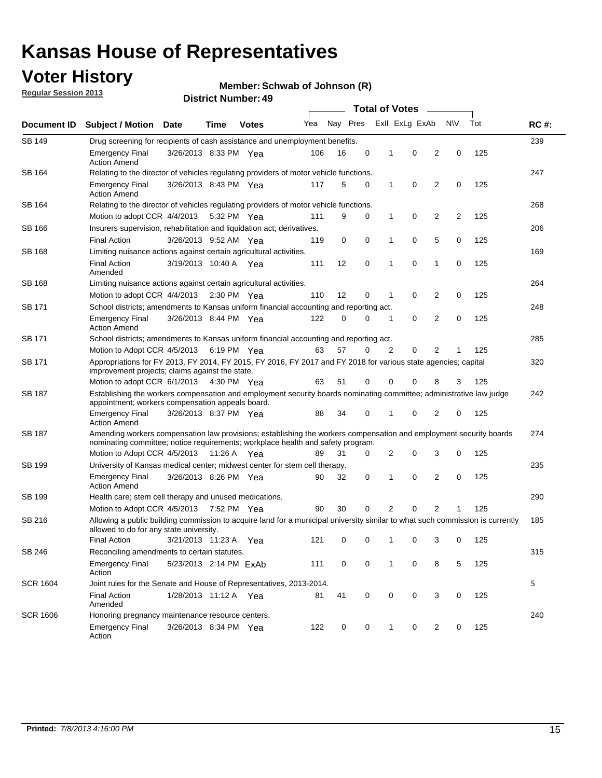### **Voter History**

**Member: Schwab of Johnson (R)** 

**Regular Session 2013**

|                 |                                                                                                                                                                                                       |                        |      |                       | <b>Total of Votes</b><br>$\sim$ |          |             |   |                |                |                |     |             |
|-----------------|-------------------------------------------------------------------------------------------------------------------------------------------------------------------------------------------------------|------------------------|------|-----------------------|---------------------------------|----------|-------------|---|----------------|----------------|----------------|-----|-------------|
| Document ID     | <b>Subject / Motion</b>                                                                                                                                                                               | Date                   | Time | <b>Votes</b>          | Yea                             | Nay Pres |             |   | Exll ExLg ExAb |                | <b>NV</b>      | Tot | <b>RC#:</b> |
| <b>SB 149</b>   | 239<br>Drug screening for recipients of cash assistance and unemployment benefits.                                                                                                                    |                        |      |                       |                                 |          |             |   |                |                |                |     |             |
|                 | <b>Emergency Final</b><br><b>Action Amend</b>                                                                                                                                                         | 3/26/2013 8:33 PM Yea  |      |                       | 106                             | 16       | 0           | 1 | 0              | 2              | 0              | 125 |             |
| SB 164          | Relating to the director of vehicles regulating providers of motor vehicle functions.                                                                                                                 |                        |      |                       |                                 |          |             |   |                |                |                |     | 247         |
|                 | <b>Emergency Final</b><br><b>Action Amend</b>                                                                                                                                                         | 3/26/2013 8:43 PM Yea  |      |                       | 117                             | 5        | 0           | 1 | 0              | 2              | 0              | 125 |             |
| SB 164          | Relating to the director of vehicles regulating providers of motor vehicle functions.                                                                                                                 |                        |      |                       |                                 |          |             |   |                |                |                |     | 268         |
|                 | Motion to adopt CCR 4/4/2013 5:32 PM Yea                                                                                                                                                              |                        |      |                       | 111                             | 9        | 0           | 1 | 0              | $\overline{2}$ | $\overline{2}$ | 125 |             |
| SB 166          | Insurers supervision, rehabilitation and liquidation act; derivatives.                                                                                                                                |                        |      |                       |                                 |          |             |   |                |                |                |     | 206         |
|                 | <b>Final Action</b>                                                                                                                                                                                   | 3/26/2013 9:52 AM Yea  |      |                       | 119                             | 0        | $\mathbf 0$ | 1 | 0              | 5              | 0              | 125 |             |
| SB 168          | Limiting nuisance actions against certain agricultural activities.                                                                                                                                    |                        |      |                       |                                 |          |             |   |                |                |                |     | 169         |
|                 | Final Action<br>Amended                                                                                                                                                                               | 3/19/2013 10:40 A Yea  |      |                       | 111                             | 12       | $\mathbf 0$ | 1 | 0              | 1              | 0              | 125 |             |
| SB 168          | Limiting nuisance actions against certain agricultural activities.                                                                                                                                    |                        |      |                       |                                 |          |             |   |                |                |                |     | 264         |
|                 | Motion to adopt CCR 4/4/2013                                                                                                                                                                          |                        |      | $2:30 \text{ PM}$ Yea | 110                             | 12       | 0           | 1 | 0              | 2              | 0              | 125 |             |
| SB 171          | School districts; amendments to Kansas uniform financial accounting and reporting act.                                                                                                                |                        |      |                       |                                 |          |             |   |                |                |                |     | 248         |
|                 | <b>Emergency Final</b><br><b>Action Amend</b>                                                                                                                                                         | 3/26/2013 8:44 PM Yea  |      |                       | 122                             | 0        | 0           | 1 | 0              | $\overline{2}$ | 0              | 125 |             |
| SB 171          | School districts; amendments to Kansas uniform financial accounting and reporting act.                                                                                                                |                        |      |                       |                                 |          |             |   |                |                |                |     | 285         |
|                 | Motion to Adopt CCR 4/5/2013 6:19 PM Yea                                                                                                                                                              |                        |      |                       | 63                              | 57       | 0           | 2 | 0              | $\overline{2}$ | 1              | 125 |             |
| SB 171          | Appropriations for FY 2013, FY 2014, FY 2015, FY 2016, FY 2017 and FY 2018 for various state agencies; capital<br>improvement projects; claims against the state.                                     |                        |      |                       |                                 |          |             |   |                |                |                |     | 320         |
|                 | Motion to adopt CCR 6/1/2013 4:30 PM Yea                                                                                                                                                              |                        |      |                       | 63                              | 51       | 0           | 0 | 0              | 8              | 3              | 125 |             |
| SB 187          | Establishing the workers compensation and employment security boards nominating committee; administrative law judge<br>appointment; workers compensation appeals board.                               |                        |      |                       |                                 |          |             |   |                |                |                |     | 242         |
|                 | <b>Emergency Final</b><br><b>Action Amend</b>                                                                                                                                                         | 3/26/2013 8:37 PM Yea  |      |                       | 88                              | 34       | 0           |   | 0              | 2              | 0              | 125 |             |
| SB 187          | Amending workers compensation law provisions; establishing the workers compensation and employment security boards<br>nominating committee; notice requirements; workplace health and safety program. |                        |      |                       |                                 |          |             |   |                |                |                |     | 274         |
|                 | Motion to Adopt CCR 4/5/2013 11:26 A Yea                                                                                                                                                              |                        |      |                       | 89                              | 31       | 0           | 2 | 0              | 3              | 0              | 125 |             |
| SB 199          | University of Kansas medical center; midwest center for stem cell therapy.                                                                                                                            |                        |      |                       |                                 |          |             |   |                |                |                |     | 235         |
|                 | Emergency Final<br><b>Action Amend</b>                                                                                                                                                                | 3/26/2013 8:26 PM Yea  |      |                       | 90                              | 32       | 0           | 1 | 0              | $\overline{2}$ | 0              | 125 |             |
| SB 199          | Health care; stem cell therapy and unused medications.                                                                                                                                                |                        |      |                       |                                 |          |             |   |                |                |                |     | 290         |
|                 | Motion to Adopt CCR 4/5/2013                                                                                                                                                                          |                        |      | 7:52 PM Yea           | 90                              | 30       | 0           | 2 | 0              | $\overline{2}$ | 1              | 125 |             |
| SB 216          | Allowing a public building commission to acquire land for a municipal university similar to what such commission is currently<br>allowed to do for any state university.                              |                        |      |                       |                                 |          |             |   |                |                |                |     | 185         |
|                 | <b>Final Action</b>                                                                                                                                                                                   | 3/21/2013 11:23 A      |      | Yea                   | 121                             | 0        | 0           | 1 | 0              | 3              | 0              | 125 |             |
| SB 246          | Reconciling amendments to certain statutes.                                                                                                                                                           |                        |      |                       |                                 |          |             |   |                |                |                |     | 315         |
|                 | <b>Emergency Final</b><br>Action                                                                                                                                                                      | 5/23/2013 2:14 PM ExAb |      |                       | 111                             | 0        | 0           | 1 | 0              | 8              | 5              | 125 |             |
| <b>SCR 1604</b> | Joint rules for the Senate and House of Representatives, 2013-2014.                                                                                                                                   |                        |      |                       |                                 |          |             |   |                |                |                |     | 5           |
|                 | <b>Final Action</b><br>Amended                                                                                                                                                                        | 1/28/2013 11:12 A Yea  |      |                       | 81                              | 41       | 0           | 0 | 0              | 3              | 0              | 125 |             |
| <b>SCR 1606</b> | Honoring pregnancy maintenance resource centers.                                                                                                                                                      |                        |      |                       |                                 |          |             |   |                |                |                |     | 240         |
|                 | <b>Emergency Final</b><br>Action                                                                                                                                                                      | 3/26/2013 8:34 PM Yea  |      |                       | 122                             | 0        | 0           | 1 | 0              | 2              | 0              | 125 |             |